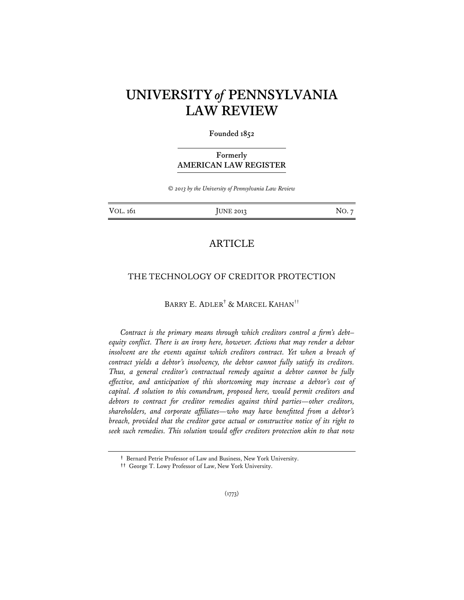# **UNIVERSITY** *of* **PENNSYLVANIA LAW REVIEW**

#### **Founded 1852**

## **Formerly AMERICAN LAW REGISTER**

*© 2013 by the University of Pennsylvania Law Review* 

VOL. 161 **JUNE 2013** NO. 7

## ARTICLE

## THE TECHNOLOGY OF CREDITOR PROTECTION

## BARRY E. ADLER† & MARCEL KAHAN††

*Contract is the primary means through which creditors control a firm's debt– equity conflict. There is an irony here, however. Actions that may render a debtor*  insolvent are the events against which creditors contract. Yet when a breach of *contract yields a debtor's insolvency, the debtor cannot fully satisfy its creditors. Thus, a general creditor's contractual remedy against a debtor cannot be fully effective, and anticipation of this shortcoming may increase a debtor's cost of capital. A solution to this conundrum, proposed here, would permit creditors and debtors to contract for creditor remedies against third parties—other creditors, shareholders, and corporate affiliates—who may have benefitted from a debtor's breach, provided that the creditor gave actual or constructive notice of its right to seek such remedies. This solution would offer creditors protection akin to that now* 

**<sup>†</sup>** Bernard Petrie Professor of Law and Business, New York University.

**<sup>††</sup>** George T. Lowy Professor of Law, New York University.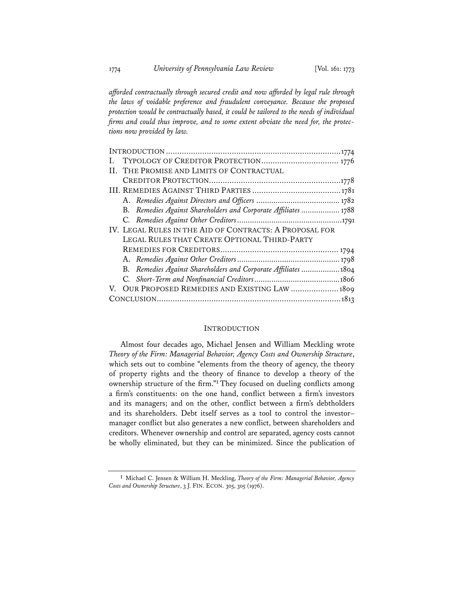*afforded contractually through secured credit and now afforded by legal rule through the laws of voidable preference and fraudulent conveyance. Because the proposed protection would be contractually based, it could be tailored to the needs of individual firms and could thus improve, and to some extent obviate the need for, the protections now provided by law.* 

#### INTRODUCTION

Almost four decades ago, Michael Jensen and William Meckling wrote *Theory of the Firm: Managerial Behavior, Agency Costs and Ownership Structure*, which sets out to combine "elements from the theory of agency, the theory of property rights and the theory of finance to develop a theory of the ownership structure of the firm."<sup>1</sup> They focused on dueling conflicts among a firm's constituents: on the one hand, conflict between a firm's investors and its managers; and on the other, conflict between a firm's debtholders and its shareholders. Debt itself serves as a tool to control the investor– manager conflict but also generates a new conflict, between shareholders and creditors. Whenever ownership and control are separated, agency costs cannot be wholly eliminated, but they can be minimized. Since the publication of

**<sup>1</sup>** Michael C. Jensen & William H. Meckling, *Theory of the Firm: Managerial Behavior, Agency Costs and Ownership Structure*, 3 J. FIN. ECON. 305, 305 (1976).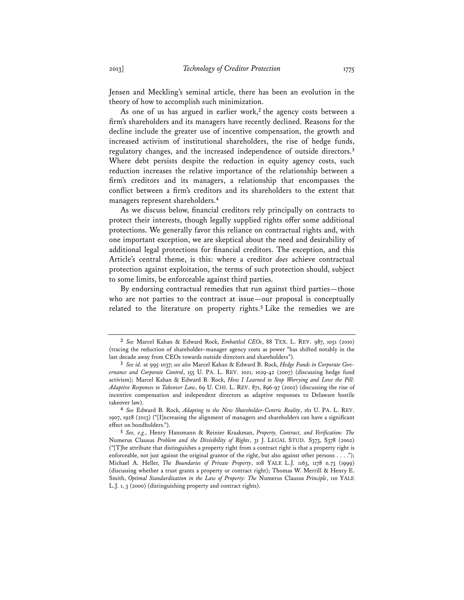Jensen and Meckling's seminal article, there has been an evolution in the theory of how to accomplish such minimization.

As one of us has argued in earlier work,**<sup>2</sup>** the agency costs between a firm's shareholders and its managers have recently declined. Reasons for the decline include the greater use of incentive compensation, the growth and increased activism of institutional shareholders, the rise of hedge funds, regulatory changes, and the increased independence of outside directors.**<sup>3</sup>** Where debt persists despite the reduction in equity agency costs, such reduction increases the relative importance of the relationship between a firm's creditors and its managers, a relationship that encompasses the conflict between a firm's creditors and its shareholders to the extent that managers represent shareholders.**<sup>4</sup>**

As we discuss below, financial creditors rely principally on contracts to protect their interests, though legally supplied rights offer some additional protections. We generally favor this reliance on contractual rights and, with one important exception, we are skeptical about the need and desirability of additional legal protections for financial creditors. The exception, and this Article's central theme, is this: where a creditor *does* achieve contractual protection against exploitation, the terms of such protection should, subject to some limits, be enforceable against third parties.

By endorsing contractual remedies that run against third parties—those who are not parties to the contract at issue—our proposal is conceptually related to the literature on property rights.**<sup>5</sup>** Like the remedies we are

**<sup>2</sup>** *See* Marcel Kahan & Edward Rock, *Embattled CEOs*, 88 TEX. L. REV. 987, 1051 (2010) (tracing the reduction of shareholder–manager agency costs as power "has shifted notably in the last decade away from CEOs towards outside directors and shareholders").

**<sup>3</sup>** *See id.* at 995-1037; *see also* Marcel Kahan & Edward B. Rock, *Hedge Funds in Corporate Governance and Corporate Control*, 155 U. PA. L. REV. 1021, 1029-42 (2007) (discussing hedge fund activism); Marcel Kahan & Edward B. Rock, *How I Learned to Stop Worrying and Love the Pill: Adaptive Responses to Takeover Law*, 69 U. CHI. L. REV. 871, 896-97 (2002) (discussing the rise of incentive compensation and independent directors as adaptive responses to Delaware hostile takeover law).

**<sup>4</sup>** *See* Edward B. Rock, *Adapting to the New Shareholder-Centric Reality*, 161 U. PA. L. REV. 1907, 1928 (2013) ("[I]ncreasing the alignment of managers and shareholders can have a significant effect on bondholders.").

**<sup>5</sup>** *See, e.g.*, Henry Hansmann & Reinier Kraakman, *Property, Contract, and Verification: The*  Numerus Clausus *Problem and the Divisibility of Rights*, 31 J. LEGAL STUD. S373, S378 (2002)  $("T]$ he attribute that distinguishes a property right from a contract right is that a property right is enforceable, not just against the original grantor of the right, but also against other persons . . . ."); Michael A. Heller, *The Boundaries of Private Property*, 108 YALE L.J. 1163, 1178 n.73 (1999) (discussing whether a trust grants a property or contract right); Thomas W. Merrill & Henry E. Smith, *Optimal Standardization in the Law of Property: The* Numerus Clausus *Principle*, 110 YALE L.J. 1, 3 (2000) (distinguishing property and contract rights).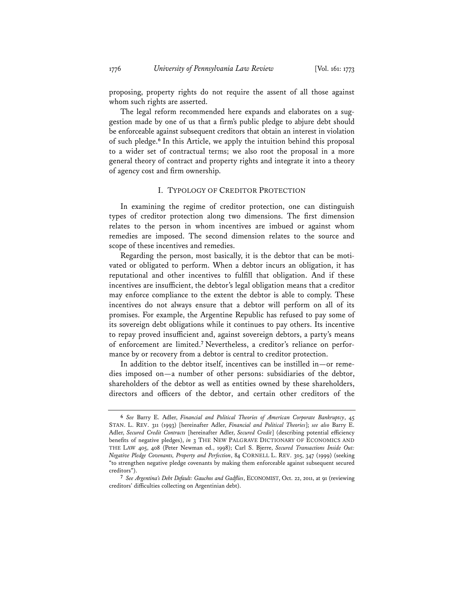proposing, property rights do not require the assent of all those against whom such rights are asserted.

The legal reform recommended here expands and elaborates on a suggestion made by one of us that a firm's public pledge to abjure debt should be enforceable against subsequent creditors that obtain an interest in violation of such pledge.**<sup>6</sup>** In this Article, we apply the intuition behind this proposal to a wider set of contractual terms; we also root the proposal in a more general theory of contract and property rights and integrate it into a theory of agency cost and firm ownership.

#### I. TYPOLOGY OF CREDITOR PROTECTION

In examining the regime of creditor protection, one can distinguish types of creditor protection along two dimensions. The first dimension relates to the person in whom incentives are imbued or against whom remedies are imposed. The second dimension relates to the source and scope of these incentives and remedies.

Regarding the person, most basically, it is the debtor that can be motivated or obligated to perform. When a debtor incurs an obligation, it has reputational and other incentives to fulfill that obligation. And if these incentives are insufficient, the debtor's legal obligation means that a creditor may enforce compliance to the extent the debtor is able to comply. These incentives do not always ensure that a debtor will perform on all of its promises. For example, the Argentine Republic has refused to pay some of its sovereign debt obligations while it continues to pay others. Its incentive to repay proved insufficient and, against sovereign debtors, a party's means of enforcement are limited.**<sup>7</sup>** Nevertheless, a creditor's reliance on performance by or recovery from a debtor is central to creditor protection.

In addition to the debtor itself, incentives can be instilled in—or remedies imposed on—a number of other persons: subsidiaries of the debtor, shareholders of the debtor as well as entities owned by these shareholders, directors and officers of the debtor, and certain other creditors of the

**<sup>6</sup>** *See* Barry E. Adler, *Financial and Political Theories of American Corporate Bankruptcy*, 45 STAN. L. REV. 311 (1993) [hereinafter Adler, *Financial and Political Theories*]; *see also* Barry E. Adler, *Secured Credit Contracts* [hereinafter Adler, *Secured Credit*] (describing potential efficiency benefits of negative pledges), *in* 3 THE NEW PALGRAVE DICTIONARY OF ECONOMICS AND THE LAW 405, 408 (Peter Newman ed., 1998); Carl S. Bjerre, *Secured Transactions Inside Out: Negative Pledge Covenants, Property and Perfection*, 84 CORNELL L. REV. 305, 347 (1999) (seeking "to strengthen negative pledge covenants by making them enforceable against subsequent secured creditors").

**<sup>7</sup>** *See Argentina's Debt Default: Gauchos and Gadflies*, ECONOMIST, Oct. 22, 2011, at 91 (reviewing creditors' difficulties collecting on Argentinian debt).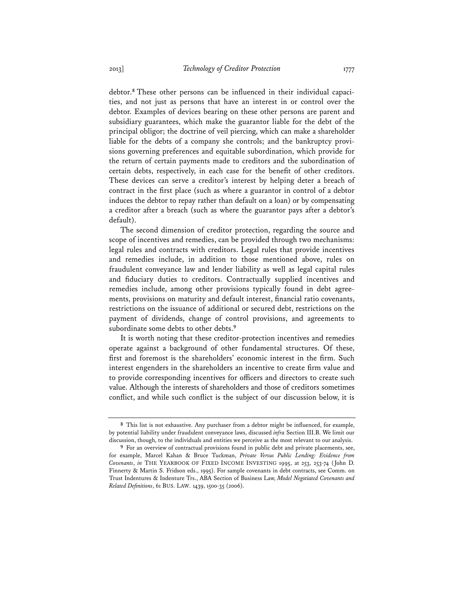debtor.**8** These other persons can be influenced in their individual capacities, and not just as persons that have an interest in or control over the debtor. Examples of devices bearing on these other persons are parent and subsidiary guarantees, which make the guarantor liable for the debt of the principal obligor; the doctrine of veil piercing, which can make a shareholder liable for the debts of a company she controls; and the bankruptcy provisions governing preferences and equitable subordination, which provide for the return of certain payments made to creditors and the subordination of certain debts, respectively, in each case for the benefit of other creditors. These devices can serve a creditor's interest by helping deter a breach of contract in the first place (such as where a guarantor in control of a debtor induces the debtor to repay rather than default on a loan) or by compensating a creditor after a breach (such as where the guarantor pays after a debtor's default).

The second dimension of creditor protection, regarding the source and scope of incentives and remedies, can be provided through two mechanisms: legal rules and contracts with creditors. Legal rules that provide incentives and remedies include, in addition to those mentioned above, rules on fraudulent conveyance law and lender liability as well as legal capital rules and fiduciary duties to creditors. Contractually supplied incentives and remedies include, among other provisions typically found in debt agreements, provisions on maturity and default interest, financial ratio covenants, restrictions on the issuance of additional or secured debt, restrictions on the payment of dividends, change of control provisions, and agreements to subordinate some debts to other debts.**<sup>9</sup>**

It is worth noting that these creditor-protection incentives and remedies operate against a background of other fundamental structures. Of these, first and foremost is the shareholders' economic interest in the firm. Such interest engenders in the shareholders an incentive to create firm value and to provide corresponding incentives for officers and directors to create such value. Although the interests of shareholders and those of creditors sometimes conflict, and while such conflict is the subject of our discussion below, it is

**<sup>8</sup>** This list is not exhaustive. Any purchaser from a debtor might be influenced, for example, by potential liability under fraudulent conveyance laws, discussed *infra* Section III.B. We limit our discussion, though, to the individuals and entities we perceive as the most relevant to our analysis.

**<sup>9</sup>** For an overview of contractual provisions found in public debt and private placements, see, for example, Marcel Kahan & Bruce Tuckman, *Private Versus Public Lending: Evidence from Covenants*, *in* THE YEARBOOK OF FIXED INCOME INVESTING 1995, at 253, 253-74 (John D. Finnerty & Martin S. Fridson eds., 1995). For sample covenants in debt contracts, see Comm. on Trust Indentures & Indenture Trs., ABA Section of Business Law, *Model Negotiated Covenants and Related Definitions*, 61 BUS. LAW. 1439, 1500-35 (2006).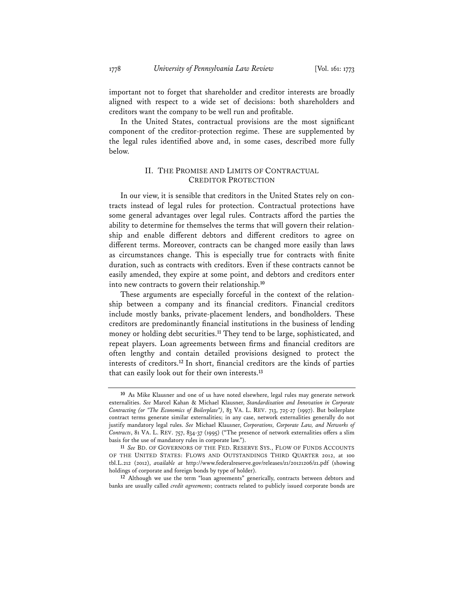important not to forget that shareholder and creditor interests are broadly aligned with respect to a wide set of decisions: both shareholders and creditors want the company to be well run and profitable.

In the United States, contractual provisions are the most significant component of the creditor-protection regime. These are supplemented by the legal rules identified above and, in some cases, described more fully below.

## II. THE PROMISE AND LIMITS OF CONTRACTUAL CREDITOR PROTECTION

In our view, it is sensible that creditors in the United States rely on contracts instead of legal rules for protection. Contractual protections have some general advantages over legal rules. Contracts afford the parties the ability to determine for themselves the terms that will govern their relationship and enable different debtors and different creditors to agree on different terms. Moreover, contracts can be changed more easily than laws as circumstances change. This is especially true for contracts with finite duration, such as contracts with creditors. Even if these contracts cannot be easily amended, they expire at some point, and debtors and creditors enter into new contracts to govern their relationship.**<sup>10</sup>**

These arguments are especially forceful in the context of the relationship between a company and its financial creditors. Financial creditors include mostly banks, private-placement lenders, and bondholders. These creditors are predominantly financial institutions in the business of lending money or holding debt securities.**<sup>11</sup>** They tend to be large, sophisticated, and repeat players. Loan agreements between firms and financial creditors are often lengthy and contain detailed provisions designed to protect the interests of creditors.**<sup>12</sup>** In short, financial creditors are the kinds of parties that can easily look out for their own interests.**<sup>13</sup>**

**12** Although we use the term "loan agreements" generically, contracts between debtors and banks are usually called *credit agreements*; contracts related to publicly issued corporate bonds are

**<sup>10</sup>** As Mike Klausner and one of us have noted elsewhere, legal rules may generate network externalities. *See* Marcel Kahan & Michael Klausner, *Standardization and Innovation in Corporate Contracting (or "The Economics of Boilerplate")*, 83 VA. L. REV. 713, 725-27 (1997). But boilerplate contract terms generate similar externalities; in any case, network externalities generally do not justify mandatory legal rules. *See* Michael Klausner, *Corporations, Corporate Law, and Networks of Contracts*, 81 VA. L. REV. 757, 834-37 (1995) ("The presence of network externalities offers a slim basis for the use of mandatory rules in corporate law.").

**<sup>11</sup>** *See* BD. OF GOVERNORS OF THE FED. RESERVE SYS., FLOW OF FUNDS ACCOUNTS OF THE UNITED STATES: FLOWS AND OUTSTANDINGS THIRD QUARTER 2012, at 100 tbl.L.212 (2012), *available at* http://www.federalreserve.gov/releases/z1/20121206/z1.pdf (showing holdings of corporate and foreign bonds by type of holder).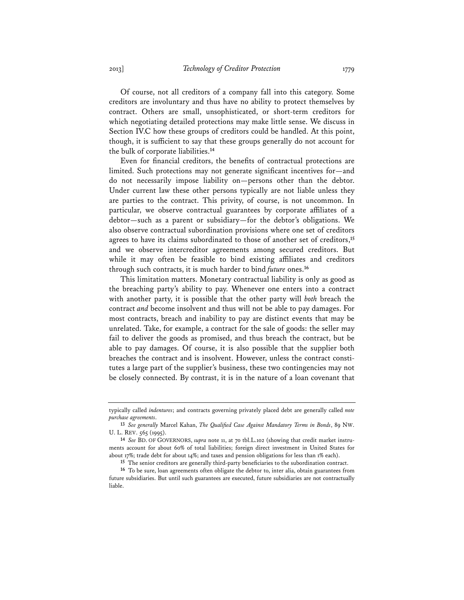Of course, not all creditors of a company fall into this category. Some creditors are involuntary and thus have no ability to protect themselves by contract. Others are small, unsophisticated, or short-term creditors for which negotiating detailed protections may make little sense. We discuss in Section IV.C how these groups of creditors could be handled. At this point, though, it is sufficient to say that these groups generally do not account for the bulk of corporate liabilities.**<sup>14</sup>**

Even for financial creditors, the benefits of contractual protections are limited. Such protections may not generate significant incentives for—and do not necessarily impose liability on—persons other than the debtor. Under current law these other persons typically are not liable unless they are parties to the contract. This privity, of course, is not uncommon. In particular, we observe contractual guarantees by corporate affiliates of a debtor—such as a parent or subsidiary—for the debtor's obligations. We also observe contractual subordination provisions where one set of creditors agrees to have its claims subordinated to those of another set of creditors,**<sup>15</sup>** and we observe intercreditor agreements among secured creditors. But while it may often be feasible to bind existing affiliates and creditors through such contracts, it is much harder to bind *future* ones.**<sup>16</sup>**

This limitation matters. Monetary contractual liability is only as good as the breaching party's ability to pay. Whenever one enters into a contract with another party, it is possible that the other party will *both* breach the contract *and* become insolvent and thus will not be able to pay damages. For most contracts, breach and inability to pay are distinct events that may be unrelated. Take, for example, a contract for the sale of goods: the seller may fail to deliver the goods as promised, and thus breach the contract, but be able to pay damages. Of course, it is also possible that the supplier both breaches the contract and is insolvent. However, unless the contract constitutes a large part of the supplier's business, these two contingencies may not be closely connected. By contrast, it is in the nature of a loan covenant that

typically called *indentures*; and contracts governing privately placed debt are generally called *note purchase agreements*.

**<sup>13</sup>** *See generally* Marcel Kahan, *The Qualified Case Against Mandatory Terms in Bonds*, 89 NW. U. L. REV. 565 (1995).

**<sup>14</sup>** *See* BD. OF GOVERNORS, *supra* note 11, at 70 tbl.L.102 (showing that credit market instruments account for about 60% of total liabilities; foreign direct investment in United States for about 17%; trade debt for about 14%; and taxes and pension obligations for less than 1% each).

**<sup>15</sup>** The senior creditors are generally third-party beneficiaries to the subordination contract.

**<sup>16</sup>** To be sure, loan agreements often obligate the debtor to, inter alia, obtain guarantees from future subsidiaries. But until such guarantees are executed, future subsidiaries are not contractually liable.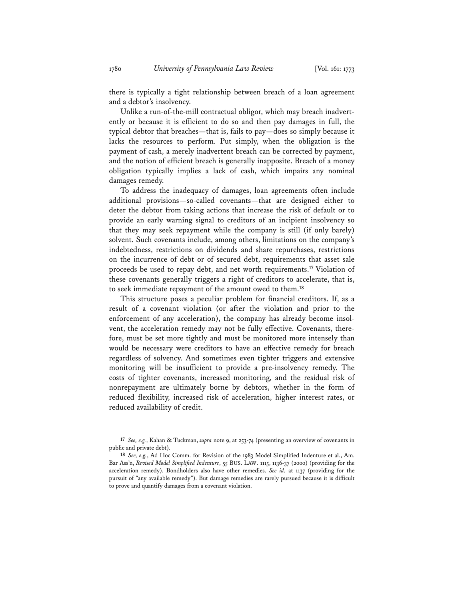there is typically a tight relationship between breach of a loan agreement and a debtor's insolvency.

Unlike a run-of-the-mill contractual obligor, which may breach inadvertently or because it is efficient to do so and then pay damages in full, the typical debtor that breaches—that is, fails to pay—does so simply because it lacks the resources to perform. Put simply, when the obligation is the payment of cash, a merely inadvertent breach can be corrected by payment, and the notion of efficient breach is generally inapposite. Breach of a money obligation typically implies a lack of cash, which impairs any nominal damages remedy.

To address the inadequacy of damages, loan agreements often include additional provisions—so-called covenants—that are designed either to deter the debtor from taking actions that increase the risk of default or to provide an early warning signal to creditors of an incipient insolvency so that they may seek repayment while the company is still (if only barely) solvent. Such covenants include, among others, limitations on the company's indebtedness, restrictions on dividends and share repurchases, restrictions on the incurrence of debt or of secured debt, requirements that asset sale proceeds be used to repay debt, and net worth requirements.**<sup>17</sup>** Violation of these covenants generally triggers a right of creditors to accelerate, that is, to seek immediate repayment of the amount owed to them.**<sup>18</sup>**

This structure poses a peculiar problem for financial creditors. If, as a result of a covenant violation (or after the violation and prior to the enforcement of any acceleration), the company has already become insolvent, the acceleration remedy may not be fully effective. Covenants, therefore, must be set more tightly and must be monitored more intensely than would be necessary were creditors to have an effective remedy for breach regardless of solvency. And sometimes even tighter triggers and extensive monitoring will be insufficient to provide a pre-insolvency remedy. The costs of tighter covenants, increased monitoring, and the residual risk of nonrepayment are ultimately borne by debtors, whether in the form of reduced flexibility, increased risk of acceleration, higher interest rates, or reduced availability of credit.

**<sup>17</sup>** *See, e.g.*, Kahan & Tuckman, *supra* note 9, at 253-74 (presenting an overview of covenants in public and private debt).

**<sup>18</sup>** *See, e.g.*, Ad Hoc Comm. for Revision of the 1983 Model Simplified Indenture et al., Am. Bar Ass'n, *Revised Model Simplified Indenture*, 55 BUS. LAW. 1115, 1136-37 (2000) (providing for the acceleration remedy). Bondholders also have other remedies. *See id.* at 1137 (providing for the pursuit of "any available remedy"). But damage remedies are rarely pursued because it is difficult to prove and quantify damages from a covenant violation.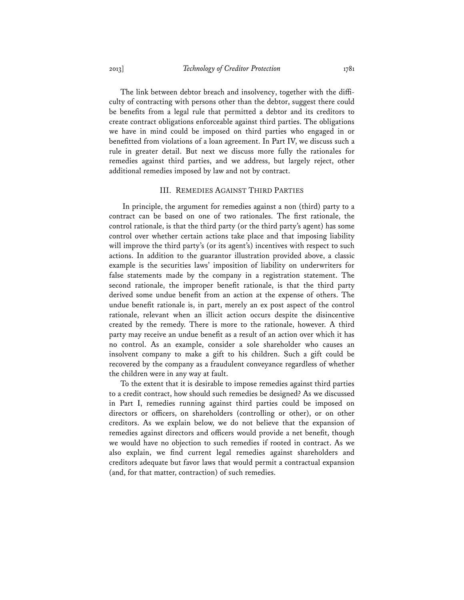The link between debtor breach and insolvency, together with the difficulty of contracting with persons other than the debtor, suggest there could be benefits from a legal rule that permitted a debtor and its creditors to create contract obligations enforceable against third parties. The obligations we have in mind could be imposed on third parties who engaged in or benefitted from violations of a loan agreement. In Part IV, we discuss such a rule in greater detail. But next we discuss more fully the rationales for remedies against third parties, and we address, but largely reject, other additional remedies imposed by law and not by contract.

#### III. REMEDIES AGAINST THIRD PARTIES

 In principle, the argument for remedies against a non (third) party to a contract can be based on one of two rationales. The first rationale, the control rationale, is that the third party (or the third party's agent) has some control over whether certain actions take place and that imposing liability will improve the third party's (or its agent's) incentives with respect to such actions. In addition to the guarantor illustration provided above, a classic example is the securities laws' imposition of liability on underwriters for false statements made by the company in a registration statement. The second rationale, the improper benefit rationale, is that the third party derived some undue benefit from an action at the expense of others. The undue benefit rationale is, in part, merely an ex post aspect of the control rationale, relevant when an illicit action occurs despite the disincentive created by the remedy. There is more to the rationale, however. A third party may receive an undue benefit as a result of an action over which it has no control. As an example, consider a sole shareholder who causes an insolvent company to make a gift to his children. Such a gift could be recovered by the company as a fraudulent conveyance regardless of whether the children were in any way at fault.

To the extent that it is desirable to impose remedies against third parties to a credit contract, how should such remedies be designed? As we discussed in Part I, remedies running against third parties could be imposed on directors or officers, on shareholders (controlling or other), or on other creditors. As we explain below, we do not believe that the expansion of remedies against directors and officers would provide a net benefit, though we would have no objection to such remedies if rooted in contract. As we also explain, we find current legal remedies against shareholders and creditors adequate but favor laws that would permit a contractual expansion (and, for that matter, contraction) of such remedies.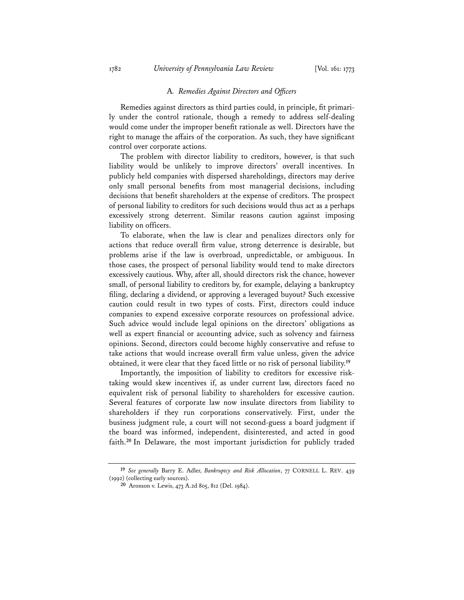#### A*. Remedies Against Directors and Officers*

Remedies against directors as third parties could, in principle, fit primarily under the control rationale, though a remedy to address self-dealing would come under the improper benefit rationale as well. Directors have the right to manage the affairs of the corporation. As such, they have significant control over corporate actions.

The problem with director liability to creditors, however, is that such liability would be unlikely to improve directors' overall incentives. In publicly held companies with dispersed shareholdings, directors may derive only small personal benefits from most managerial decisions, including decisions that benefit shareholders at the expense of creditors. The prospect of personal liability to creditors for such decisions would thus act as a perhaps excessively strong deterrent. Similar reasons caution against imposing liability on officers.

To elaborate, when the law is clear and penalizes directors only for actions that reduce overall firm value, strong deterrence is desirable, but problems arise if the law is overbroad, unpredictable, or ambiguous. In those cases, the prospect of personal liability would tend to make directors excessively cautious. Why, after all, should directors risk the chance, however small, of personal liability to creditors by, for example, delaying a bankruptcy filing, declaring a dividend, or approving a leveraged buyout? Such excessive caution could result in two types of costs. First, directors could induce companies to expend excessive corporate resources on professional advice. Such advice would include legal opinions on the directors' obligations as well as expert financial or accounting advice, such as solvency and fairness opinions. Second, directors could become highly conservative and refuse to take actions that would increase overall firm value unless, given the advice obtained, it were clear that they faced little or no risk of personal liability.**<sup>19</sup>**

Importantly, the imposition of liability to creditors for excessive risktaking would skew incentives if, as under current law, directors faced no equivalent risk of personal liability to shareholders for excessive caution. Several features of corporate law now insulate directors from liability to shareholders if they run corporations conservatively. First, under the business judgment rule, a court will not second-guess a board judgment if the board was informed, independent, disinterested, and acted in good faith.**<sup>20</sup>** In Delaware, the most important jurisdiction for publicly traded

**<sup>19</sup>** *See generally* Barry E. Adler, *Bankruptcy and Risk Allocation*, 77 CORNELL L. REV. 439 (1992) (collecting early sources).

**<sup>20</sup>** Aronson v. Lewis, 473 A.2d 805, 812 (Del. 1984).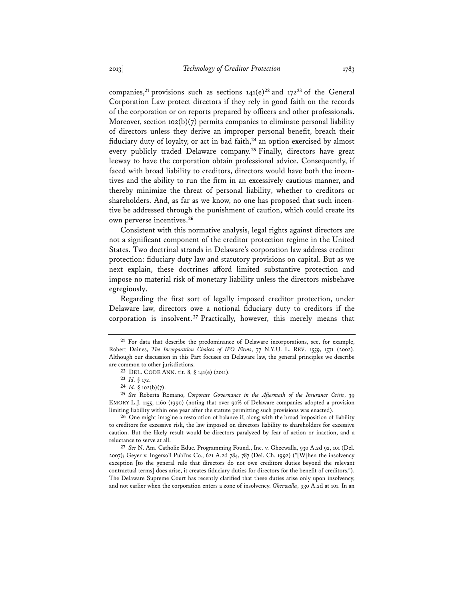companies,<sup>21</sup> provisions such as sections  $141(e)^{22}$  and  $172^{23}$  of the General Corporation Law protect directors if they rely in good faith on the records of the corporation or on reports prepared by officers and other professionals. Moreover, section  $102(b)(7)$  permits companies to eliminate personal liability of directors unless they derive an improper personal benefit, breach their fiduciary duty of loyalty, or act in bad faith,**<sup>24</sup>** an option exercised by almost every publicly traded Delaware company.**<sup>25</sup>** Finally, directors have great leeway to have the corporation obtain professional advice. Consequently, if faced with broad liability to creditors, directors would have both the incentives and the ability to run the firm in an excessively cautious manner, and thereby minimize the threat of personal liability, whether to creditors or shareholders. And, as far as we know, no one has proposed that such incentive be addressed through the punishment of caution, which could create its own perverse incentives.**<sup>26</sup>**

Consistent with this normative analysis, legal rights against directors are not a significant component of the creditor protection regime in the United States. Two doctrinal strands in Delaware's corporation law address creditor protection: fiduciary duty law and statutory provisions on capital. But as we next explain, these doctrines afford limited substantive protection and impose no material risk of monetary liability unless the directors misbehave egregiously.

Regarding the first sort of legally imposed creditor protection, under Delaware law, directors owe a notional fiduciary duty to creditors if the corporation is insolvent. **<sup>27</sup>** Practically, however, this merely means that

**27** *See* N. Am. Catholic Educ. Programming Found., Inc. v. Gheewalla, 930 A.2d 92, 101 (Del. 2007); Geyer v. Ingersoll Publ'ns Co., 621 A.2d 784, 787 (Del. Ch. 1992) ("[W]hen the insolvency exception [to the general rule that directors do not owe creditors duties beyond the relevant contractual terms] does arise, it creates fiduciary duties for directors for the benefit of creditors."). The Delaware Supreme Court has recently clarified that these duties arise only upon insolvency, and not earlier when the corporation enters a zone of insolvency. *Gheewalla*, 930 A.2d at 101. In an

**<sup>21</sup>** For data that describe the predominance of Delaware incorporations, see, for example, Robert Daines, *The Incorporation Choices of IPO Firms*, 77 N.Y.U. L. REV. 1559, 1571 (2002). Although our discussion in this Part focuses on Delaware law, the general principles we describe are common to other jurisdictions.

**<sup>22</sup>** DEL. CODE ANN. tit. 8, § 141(e) (2011).

**<sup>23</sup>** *Id.* § 172.

**<sup>24</sup>** *Id.* § 102(b)(7).

**<sup>25</sup>** *See* Roberta Romano, *Corporate Governance in the Aftermath of the Insurance Crisis*, 39 EMORY L.J. 1155, 1160 (1990) (noting that over 90% of Delaware companies adopted a provision limiting liability within one year after the statute permitting such provisions was enacted).

**<sup>26</sup>** One might imagine a restoration of balance if, along with the broad imposition of liability to creditors for excessive risk, the law imposed on directors liability to shareholders for excessive caution. But the likely result would be directors paralyzed by fear of action or inaction, and a reluctance to serve at all.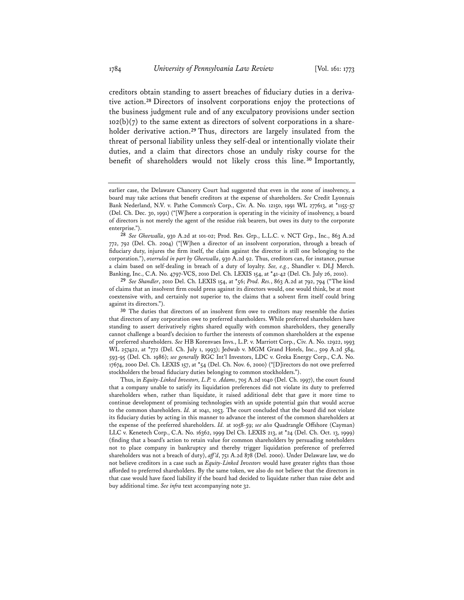creditors obtain standing to assert breaches of fiduciary duties in a derivative action.**<sup>28</sup>** Directors of insolvent corporations enjoy the protections of the business judgment rule and of any exculpatory provisions under section  $102(b)(7)$  to the same extent as directors of solvent corporations in a shareholder derivative action.**<sup>29</sup>** Thus, directors are largely insulated from the threat of personal liability unless they self-deal or intentionally violate their duties, and a claim that directors chose an unduly risky course for the benefit of shareholders would not likely cross this line. **<sup>30</sup>** Importantly,

earlier case, the Delaware Chancery Court had suggested that even in the zone of insolvency, a board may take actions that benefit creditors at the expense of shareholders. *See* Credit Lyonnais Bank Nederland, N.V. v. Pathe Commcn's Corp., Civ. A. No. 12150, 1991 WL 277613, at \*1155-57 (Del. Ch. Dec. 30, 1991) ("[W]here a corporation is operating in the vicinity of insolvency, a board of directors is not merely the agent of the residue risk bearers, but owes its duty to the corporate enterprise.").

**<sup>28</sup>** *See Gheewalla*, 930 A.2d at 101-02; Prod. Res. Grp., L.L.C. v. NCT Grp., Inc., 863 A.2d 772, 792 (Del. Ch. 2004) ("[W]hen a director of an insolvent corporation, through a breach of fiduciary duty, injures the firm itself, the claim against the director is still one belonging to the corporation."), *overruled in part by Gheewalla*, 930 A.2d 92. Thus, creditors can, for instance, pursue a claim based on self-dealing in breach of a duty of loyalty. *See, e.g.*, Shandler v. DLJ Merch. Banking, Inc., C.A. No. 4797-VCS, 2010 Del. Ch. LEXIS 154, at \*41-42 (Del. Ch. July 26, 2010).

**<sup>29</sup>** *See Shandler*, 2010 Del. Ch. LEXIS 154, at \*56; *Prod. Res.*, 863 A.2d at 792, 794 ("The kind of claims that an insolvent firm could press against its directors would, one would think, be at most coextensive with, and certainly not superior to, the claims that a solvent firm itself could bring against its directors.").

**<sup>30</sup>** The duties that directors of an insolvent firm owe to creditors may resemble the duties that directors of any corporation owe to preferred shareholders. While preferred shareholders have standing to assert derivatively rights shared equally with common shareholders, they generally cannot challenge a board's decision to further the interests of common shareholders at the expense of preferred shareholders. *See* HB Korenvaes Invs., L.P. v. Marriott Corp., Civ. A. No. 12922, 1993 WL 257422, at \*772 (Del. Ch. July 1, 1993); Jedwab v. MGM Grand Hotels, Inc., 509 A.2d 584, 593-95 (Del. Ch. 1986); *see generally* RGC Int'l Investors, LDC v. Greka Energy Corp., C.A. No. 17674, 2000 Del. Ch. LEXIS 157, at \*54 (Del. Ch. Nov. 6, 2000) ("[D]irectors do not owe preferred stockholders the broad fiduciary duties belonging to common stockholders.").

Thus, in *Equity-Linked Investors, L.P. v. Adams*, 705 A.2d 1040 (Del. Ch. 1997), the court found that a company unable to satisfy its liquidation preferences did not violate its duty to preferred shareholders when, rather than liquidate, it raised additional debt that gave it more time to continue development of promising technologies with an upside potential gain that would accrue to the common shareholders. *Id.* at 1041, 1053. The court concluded that the board did not violate its fiduciary duties by acting in this manner to advance the interest of the common shareholders at the expense of the preferred shareholders. *Id.* at 1058-59; *see also* Quadrangle Offshore (Cayman) LLC v. Kenetech Corp., C.A. No. 16362, 1999 Del Ch. LEXIS 213, at \*24 (Del. Ch. Oct. 13, 1999) (finding that a board's action to retain value for common shareholders by persuading noteholders not to place company in bankruptcy and thereby trigger liquidation preference of preferred shareholders was not a breach of duty), *aff 'd*, 751 A.2d 878 (Del. 2000). Under Delaware law, we do not believe creditors in a case such as *Equity-Linked Investors* would have greater rights than those afforded to preferred shareholders. By the same token, we also do not believe that the directors in that case would have faced liability if the board had decided to liquidate rather than raise debt and buy additional time. *See infra* text accompanying note 32.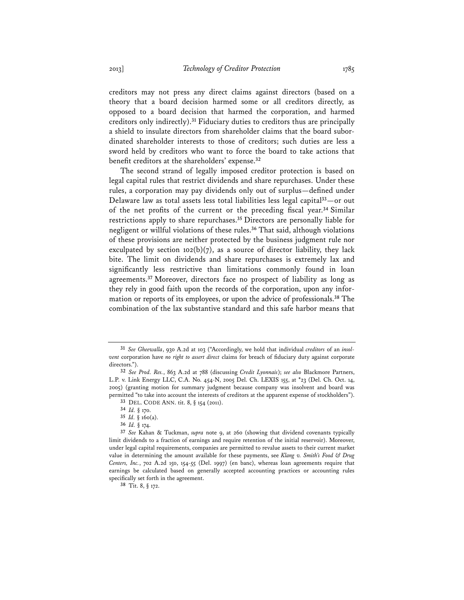creditors may not press any direct claims against directors (based on a theory that a board decision harmed some or all creditors directly, as opposed to a board decision that harmed the corporation, and harmed creditors only indirectly).**<sup>31</sup>** Fiduciary duties to creditors thus are principally a shield to insulate directors from shareholder claims that the board subordinated shareholder interests to those of creditors; such duties are less a sword held by creditors who want to force the board to take actions that benefit creditors at the shareholders' expense.**<sup>32</sup>**

The second strand of legally imposed creditor protection is based on legal capital rules that restrict dividends and share repurchases. Under these rules, a corporation may pay dividends only out of surplus—defined under Delaware law as total assets less total liabilities less legal capital**<sup>33</sup>**—or out of the net profits of the current or the preceding fiscal year.**<sup>34</sup>** Similar restrictions apply to share repurchases.**<sup>35</sup>** Directors are personally liable for negligent or willful violations of these rules.**<sup>36</sup>** That said, although violations of these provisions are neither protected by the business judgment rule nor exculpated by section 102(b)(7), as a source of director liability, they lack bite. The limit on dividends and share repurchases is extremely lax and significantly less restrictive than limitations commonly found in loan agreements.**<sup>37</sup>** Moreover, directors face no prospect of liability as long as they rely in good faith upon the records of the corporation, upon any information or reports of its employees, or upon the advice of professionals.**<sup>38</sup>** The combination of the lax substantive standard and this safe harbor means that

**38** Tit. 8, § 172.

**<sup>31</sup>** *See Gheewalla*, 930 A.2d at 103 ("Accordingly, we hold that individual *creditors* of an *insolvent* corporation have *no right to assert direct* claims for breach of fiduciary duty against corporate directors.").

**<sup>32</sup>** *See Prod. Res.*, 863 A.2d at 788 (discussing *Credit Lyonnais*); *see also* Blackmore Partners, L.P. v. Link Energy LLC, C.A. No. 454-N, 2005 Del. Ch. LEXIS 155, at \*23 (Del. Ch. Oct. 14, 2005) (granting motion for summary judgment because company was insolvent and board was permitted "to take into account the interests of creditors at the apparent expense of stockholders"). **33** DEL. CODE ANN. tit. 8, § 154 (2011).

**<sup>34</sup>** *Id.* § 170.

**<sup>35</sup>** *Id.* § 160(a).

**<sup>36</sup>** *Id.* § 174.

**<sup>37</sup>** *See* Kahan & Tuckman, *supra* note 9, at 260 (showing that dividend covenants typically limit dividends to a fraction of earnings and require retention of the initial reservoir). Moreover, under legal capital requirements, companies are permitted to revalue assets to their current market value in determining the amount available for these payments, see *Klang v. Smith's Food & Drug Centers, Inc.*, 702 A.2d 150, 154-55 (Del. 1997) (en banc), whereas loan agreements require that earnings be calculated based on generally accepted accounting practices or accounting rules specifically set forth in the agreement.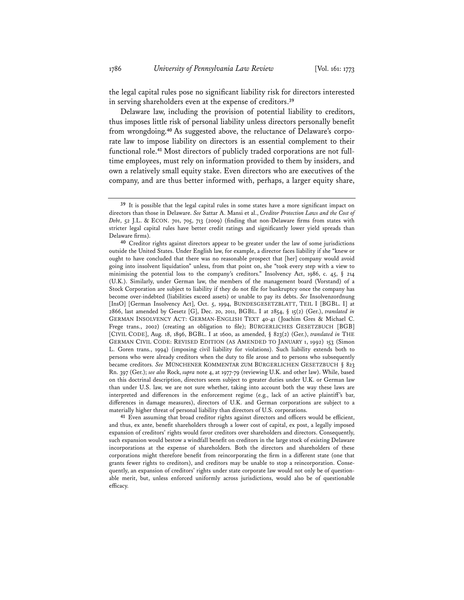the legal capital rules pose no significant liability risk for directors interested in serving shareholders even at the expense of creditors.**<sup>39</sup>**

Delaware law, including the provision of potential liability to creditors, thus imposes little risk of personal liability unless directors personally benefit from wrongdoing.**40** As suggested above, the reluctance of Delaware's corporate law to impose liability on directors is an essential complement to their functional role.**41** Most directors of publicly traded corporations are not fulltime employees, must rely on information provided to them by insiders, and own a relatively small equity stake. Even directors who are executives of the company, and are thus better informed with, perhaps, a larger equity share,

**41** Even assuming that broad creditor rights against directors and officers would be efficient, and thus, ex ante, benefit shareholders through a lower cost of capital, ex post, a legally imposed expansion of creditors' rights would favor creditors over shareholders and directors. Consequently, such expansion would bestow a windfall benefit on creditors in the large stock of existing Delaware incorporations at the expense of shareholders. Both the directors and shareholders of these corporations might therefore benefit from reincorporating the firm in a different state (one that grants fewer rights to creditors), and creditors may be unable to stop a reincorporation. Consequently, an expansion of creditors' rights under state corporate law would not only be of questionable merit, but, unless enforced uniformly across jurisdictions, would also be of questionable efficacy.

**<sup>39</sup>** It is possible that the legal capital rules in some states have a more significant impact on directors than those in Delaware. *See* Sattar A. Mansi et al., *Creditor Protection Laws and the Cost of Debt*, 52 J.L. & ECON. 701, 705, 713 (2009) (finding that non-Delaware firms from states with stricter legal capital rules have better credit ratings and significantly lower yield spreads than Delaware firms).

**<sup>40</sup>** Creditor rights against directors appear to be greater under the law of some jurisdictions outside the United States. Under English law, for example, a director faces liability if she "knew or ought to have concluded that there was no reasonable prospect that [her] company would avoid going into insolvent liquidation" unless, from that point on, she "took every step with a view to minimising the potential loss to the company's creditors." Insolvency Act, 1986, c. 45, § 214 (U.K.). Similarly, under German law, the members of the management board (Vorstand) of a Stock Corporation are subject to liability if they do not file for bankruptcy once the company has become over-indebted (liabilities exceed assets) or unable to pay its debts. *See* Insolvenzordnung [InsO] [German Insolvency Act], Oct. 5, 1994, BUNDESGESETZBLATT, TEIL I [BGBL. I] at 2866, last amended by Gesetz [G], Dec. 20, 2011, BGBL. I at 2854, § 15(2) (Ger.), *translated in* GERMAN INSOLVENCY ACT: GERMAN-ENGLISH TEXT 40-41 (Joachim Gres & Michael C. Frege trans., 2002) (creating an obligation to file); BÜRGERLICHES GESETZBUCH [BGB] [CIVIL CODE], Aug. 18, 1896, BGBL. I at 1600, as amended, § 823(2) (Ger.), *translated in* THE GERMAN CIVIL CODE: REVISED EDITION (AS AMENDED TO JANUARY 1, 1992) 153 (Simon L. Goren trans., 1994) (imposing civil liability for violations). Such liability extends both to persons who were already creditors when the duty to file arose and to persons who subsequently became creditors. *See* MÜNCHENER KOMMENTAR ZUM BÜRGERLICHEN GESETZBUCH § 823 Rn. 397 (Ger.); *see also* Rock, *supra* note 4, at 1977-79 (reviewing U.K. and other law). While, based on this doctrinal description, directors seem subject to greater duties under U.K. or German law than under U.S. law, we are not sure whether, taking into account both the way these laws are interpreted and differences in the enforcement regime (e.g., lack of an active plaintiff's bar, differences in damage measures), directors of U.K. and German corporations are subject to a materially higher threat of personal liability than directors of U.S. corporations.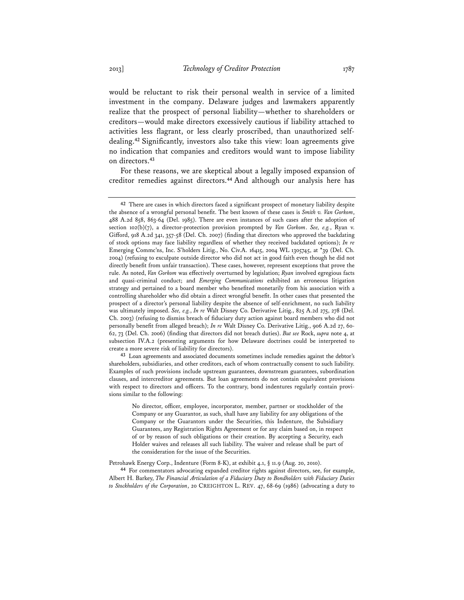would be reluctant to risk their personal wealth in service of a limited investment in the company. Delaware judges and lawmakers apparently realize that the prospect of personal liability—whether to shareholders or creditors—would make directors excessively cautious if liability attached to activities less flagrant, or less clearly proscribed, than unauthorized selfdealing.**<sup>42</sup>** Significantly, investors also take this view: loan agreements give no indication that companies and creditors would want to impose liability on directors.**<sup>43</sup>**

For these reasons, we are skeptical about a legally imposed expansion of creditor remedies against directors.**<sup>44</sup>** And although our analysis here has

**43** Loan agreements and associated documents sometimes include remedies against the debtor's shareholders, subsidiaries, and other creditors, each of whom contractually consent to such liability. Examples of such provisions include upstream guarantees, downstream guarantees, subordination clauses, and intercreditor agreements. But loan agreements do not contain equivalent provisions with respect to directors and officers. To the contrary, bond indentures regularly contain provisions similar to the following:

No director, officer, employee, incorporator, member, partner or stockholder of the Company or any Guarantor, as such, shall have any liability for any obligations of the Company or the Guarantors under the Securities, this Indenture, the Subsidiary Guarantees, any Registration Rights Agreement or for any claim based on, in respect of or by reason of such obligations or their creation. By accepting a Security, each Holder waives and releases all such liability. The waiver and release shall be part of the consideration for the issue of the Securities.

Petrohawk Energy Corp., Indenture (Form 8-K), at exhibit 4.1, § 11.9 (Aug. 20, 2010).

**44** For commentators advocating expanded creditor rights against directors, see, for example, Albert H. Barkey, *The Financial Articulation of a Fiduciary Duty to Bondholders with Fiduciary Duties to Stockholders of the Corporation*, 20 CREIGHTON L. REV. 47, 68-69 (1986) (advocating a duty to

**<sup>42</sup>** There are cases in which directors faced a significant prospect of monetary liability despite the absence of a wrongful personal benefit. The best known of these cases is *Smith v. Van Gorkom*, 488 A.2d 858, 863-64 (Del. 1985). There are even instances of such cases after the adoption of section 102(b)(7), a director-protection provision prompted by *Van Gorkom*. *See, e.g.*, Ryan v. Gifford, 918 A.2d 341, 357-58 (Del. Ch. 2007) (finding that directors who approved the backdating of stock options may face liability regardless of whether they received backdated options); *In re* Emerging Commc'ns, Inc. S'holders Litig., No. Civ.A. 16415, 2004 WL 1305745, at \*39 (Del. Ch. 2004) (refusing to exculpate outside director who did not act in good faith even though he did not directly benefit from unfair transaction). These cases, however, represent exceptions that prove the rule. As noted, *Van Gorkom* was effectively overturned by legislation; *Ryan* involved egregious facts and quasi-criminal conduct; and *Emerging Communications* exhibited an erroneous litigation strategy and pertained to a board member who benefited monetarily from his association with a controlling shareholder who did obtain a direct wrongful benefit. In other cases that presented the prospect of a director's personal liability despite the absence of self-enrichment, no such liability was ultimately imposed. *See, e.g.*, *In re* Walt Disney Co. Derivative Litig., 825 A.2d 275, 278 (Del. Ch. 2003) (refusing to dismiss breach of fiduciary duty action against board members who did not personally benefit from alleged breach); *In re* Walt Disney Co. Derivative Litig., 906 A.2d 27, 60- 62, 73 (Del. Ch. 2006) (finding that directors did not breach duties). *But see* Rock, *supra* note 4, at subsection IV.A.2 (presenting arguments for how Delaware doctrines could be interpreted to create a more severe risk of liability for directors).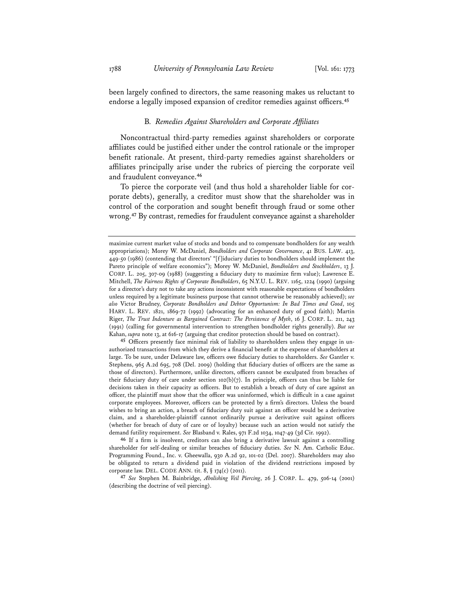been largely confined to directors, the same reasoning makes us reluctant to endorse a legally imposed expansion of creditor remedies against officers.**<sup>45</sup>**

#### B*. Remedies Against Shareholders and Corporate Affiliates*

Noncontractual third-party remedies against shareholders or corporate affiliates could be justified either under the control rationale or the improper benefit rationale. At present, third-party remedies against shareholders or affiliates principally arise under the rubrics of piercing the corporate veil and fraudulent conveyance.**<sup>46</sup>**

To pierce the corporate veil (and thus hold a shareholder liable for corporate debts), generally, a creditor must show that the shareholder was in control of the corporation and sought benefit through fraud or some other wrong.**<sup>47</sup>** By contrast, remedies for fraudulent conveyance against a shareholder

**45** Officers presently face minimal risk of liability to shareholders unless they engage in unauthorized transactions from which they derive a financial benefit at the expense of shareholders at large. To be sure, under Delaware law, officers owe fiduciary duties to shareholders. *See* Gantler v. Stephens, 965 A.2d 695, 708 (Del. 2009) (holding that fiduciary duties of officers are the same as those of directors). Furthermore, unlike directors, officers cannot be exculpated from breaches of their fiduciary duty of care under section  $102(b)(7)$ . In principle, officers can thus be liable for decisions taken in their capacity as officers. But to establish a breach of duty of care against an officer, the plaintiff must show that the officer was uninformed, which is difficult in a case against corporate employees. Moreover, officers can be protected by a firm's directors. Unless the board wishes to bring an action, a breach of fiduciary duty suit against an officer would be a derivative claim, and a shareholder-plaintiff cannot ordinarily pursue a derivative suit against officers (whether for breach of duty of care or of loyalty) because such an action would not satisfy the demand futility requirement. *See* Blasband v. Rales, 971 F.2d 1034, 1047-49 (3d Cir. 1992).

**46** If a firm is insolvent, creditors can also bring a derivative lawsuit against a controlling shareholder for self-dealing or similar breaches of fiduciary duties. *See* N. Am. Catholic Educ. Programming Found., Inc. v. Gheewalla, 930 A.2d 92, 101-02 (Del. 2007). Shareholders may also be obligated to return a dividend paid in violation of the dividend restrictions imposed by corporate law. DEL. CODE ANN. tit. 8, § 174(c) (2011).

**47** *See* Stephen M. Bainbridge, *Abolishing Veil Piercing*, 26 J. CORP. L. 479, 506-14 (2001) (describing the doctrine of veil piercing).

maximize current market value of stocks and bonds and to compensate bondholders for any wealth appropriations); Morey W. McDaniel, *Bondholders and Corporate Governance*, 41 BUS. LAW. 413, 449-50 (1986) (contending that directors' "[f]iduciary duties to bondholders should implement the Pareto principle of welfare economics"); Morey W. McDaniel, *Bondholders and Stockholders*, 13 J. CORP. L. 205, 307-09 (1988) (suggesting a fiduciary duty to maximize firm value); Lawrence E. Mitchell, *The Fairness Rights of Corporate Bondholders*, 65 N.Y.U. L. REV. 1165, 1224 (1990) (arguing for a director's duty not to take any actions inconsistent with reasonable expectations of bondholders unless required by a legitimate business purpose that cannot otherwise be reasonably achieved); *see also* Victor Brudney, *Corporate Bondholders and Debtor Opportunism: In Bad Times and Good*, 105 HARV. L. REV. 1821, 1869-72 (1992) (advocating for an enhanced duty of good faith); Martin Riger, *The Trust Indenture as Bargained Contract: The Persistence of Myth*, 16 J. CORP. L. 211, 243 (1991) (calling for governmental intervention to strengthen bondholder rights generally). *But see* Kahan, *supra* note 13, at 616-17 (arguing that creditor protection should be based on contract).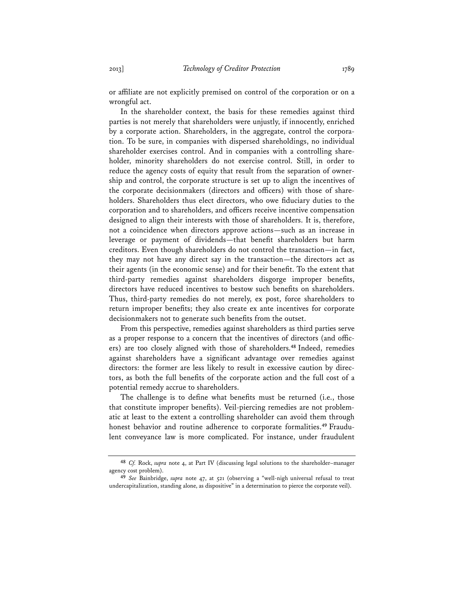or affiliate are not explicitly premised on control of the corporation or on a wrongful act.

In the shareholder context, the basis for these remedies against third parties is not merely that shareholders were unjustly, if innocently, enriched by a corporate action. Shareholders, in the aggregate, control the corporation. To be sure, in companies with dispersed shareholdings, no individual shareholder exercises control. And in companies with a controlling shareholder, minority shareholders do not exercise control. Still, in order to reduce the agency costs of equity that result from the separation of ownership and control, the corporate structure is set up to align the incentives of the corporate decisionmakers (directors and officers) with those of shareholders. Shareholders thus elect directors, who owe fiduciary duties to the corporation and to shareholders, and officers receive incentive compensation designed to align their interests with those of shareholders. It is, therefore, not a coincidence when directors approve actions—such as an increase in leverage or payment of dividends—that benefit shareholders but harm creditors. Even though shareholders do not control the transaction—in fact, they may not have any direct say in the transaction—the directors act as their agents (in the economic sense) and for their benefit. To the extent that third-party remedies against shareholders disgorge improper benefits, directors have reduced incentives to bestow such benefits on shareholders. Thus, third-party remedies do not merely, ex post, force shareholders to return improper benefits; they also create ex ante incentives for corporate decisionmakers not to generate such benefits from the outset.

From this perspective, remedies against shareholders as third parties serve as a proper response to a concern that the incentives of directors (and officers) are too closely aligned with those of shareholders.**<sup>48</sup>** Indeed, remedies against shareholders have a significant advantage over remedies against directors: the former are less likely to result in excessive caution by directors, as both the full benefits of the corporate action and the full cost of a potential remedy accrue to shareholders.

The challenge is to define what benefits must be returned (i.e., those that constitute improper benefits). Veil-piercing remedies are not problematic at least to the extent a controlling shareholder can avoid them through honest behavior and routine adherence to corporate formalities.**49** Fraudulent conveyance law is more complicated. For instance, under fraudulent

**<sup>48</sup>** *Cf.* Rock, *supra* note 4, at Part IV (discussing legal solutions to the shareholder–manager agency cost problem).

**<sup>49</sup>** *See* Bainbridge, *supra* note 47, at 521 (observing a "well-nigh universal refusal to treat undercapitalization, standing alone, as dispositive" in a determination to pierce the corporate veil).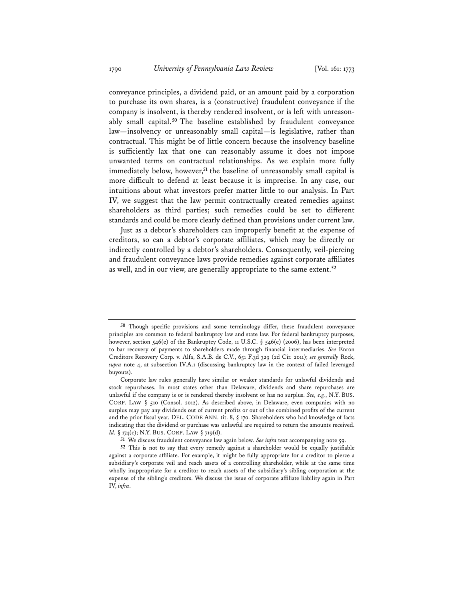conveyance principles, a dividend paid, or an amount paid by a corporation to purchase its own shares, is a (constructive) fraudulent conveyance if the company is insolvent, is thereby rendered insolvent, or is left with unreasonably small capital. **<sup>50</sup>** The baseline established by fraudulent conveyance law—insolvency or unreasonably small capital—is legislative, rather than contractual. This might be of little concern because the insolvency baseline is sufficiently lax that one can reasonably assume it does not impose unwanted terms on contractual relationships. As we explain more fully immediately below, however,**<sup>51</sup>** the baseline of unreasonably small capital is more difficult to defend at least because it is imprecise. In any case, our intuitions about what investors prefer matter little to our analysis. In Part IV, we suggest that the law permit contractually created remedies against shareholders as third parties; such remedies could be set to different standards and could be more clearly defined than provisions under current law.

Just as a debtor's shareholders can improperly benefit at the expense of creditors, so can a debtor's corporate affiliates, which may be directly or indirectly controlled by a debtor's shareholders. Consequently, veil-piercing and fraudulent conveyance laws provide remedies against corporate affiliates as well, and in our view, are generally appropriate to the same extent.**<sup>52</sup>**

**<sup>50</sup>** Though specific provisions and some terminology differ, these fraudulent conveyance principles are common to federal bankruptcy law and state law. For federal bankruptcy purposes, however, section 546(e) of the Bankruptcy Code, 11 U.S.C. § 546(e) (2006), has been interpreted to bar recovery of payments to shareholders made through financial intermediaries. *See* Enron Creditors Recovery Corp. v. Alfa, S.A.B. de C.V., 651 F.3d 329 (2d Cir. 2011); *see generally* Rock, *supra* note 4, at subsection IV.A.1 (discussing bankruptcy law in the context of failed leveraged buyouts).

Corporate law rules generally have similar or weaker standards for unlawful dividends and stock repurchases. In most states other than Delaware, dividends and share repurchases are unlawful if the company is or is rendered thereby insolvent or has no surplus. *See, e.g.*, N.Y. BUS. CORP. LAW § 510 (Consol. 2012). As described above, in Delaware, even companies with no surplus may pay any dividends out of current profits or out of the combined profits of the current and the prior fiscal year. DEL. CODE ANN. tit. 8, § 170. Shareholders who had knowledge of facts indicating that the dividend or purchase was unlawful are required to return the amounts received. *Id.* § 174(c); N.Y. BUS. CORP. LAW § 719(d).

**<sup>51</sup>** We discuss fraudulent conveyance law again below. *See infra* text accompanying note 59.

**<sup>52</sup>** This is not to say that every remedy against a shareholder would be equally justifiable against a corporate affiliate. For example, it might be fully appropriate for a creditor to pierce a subsidiary's corporate veil and reach assets of a controlling shareholder, while at the same time wholly inappropriate for a creditor to reach assets of the subsidiary's sibling corporation at the expense of the sibling's creditors. We discuss the issue of corporate affiliate liability again in Part IV, *infra*.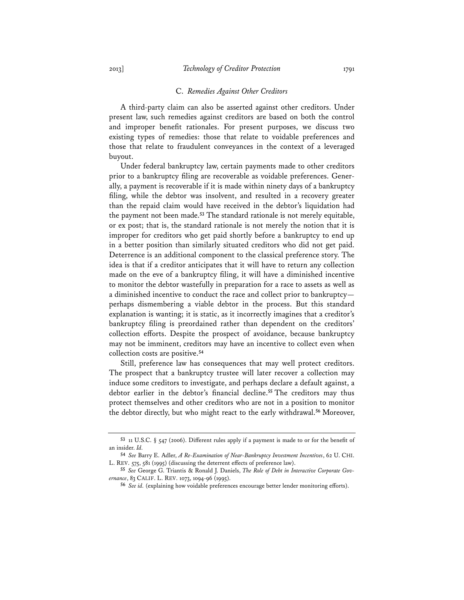#### C. *Remedies Against Other Creditors*

A third-party claim can also be asserted against other creditors. Under present law, such remedies against creditors are based on both the control and improper benefit rationales. For present purposes, we discuss two existing types of remedies: those that relate to voidable preferences and those that relate to fraudulent conveyances in the context of a leveraged buyout.

Under federal bankruptcy law, certain payments made to other creditors prior to a bankruptcy filing are recoverable as voidable preferences. Generally, a payment is recoverable if it is made within ninety days of a bankruptcy filing, while the debtor was insolvent, and resulted in a recovery greater than the repaid claim would have received in the debtor's liquidation had the payment not been made.**<sup>53</sup>** The standard rationale is not merely equitable, or ex post; that is, the standard rationale is not merely the notion that it is improper for creditors who get paid shortly before a bankruptcy to end up in a better position than similarly situated creditors who did not get paid. Deterrence is an additional component to the classical preference story. The idea is that if a creditor anticipates that it will have to return any collection made on the eve of a bankruptcy filing, it will have a diminished incentive to monitor the debtor wastefully in preparation for a race to assets as well as a diminished incentive to conduct the race and collect prior to bankruptcy perhaps dismembering a viable debtor in the process. But this standard explanation is wanting; it is static, as it incorrectly imagines that a creditor's bankruptcy filing is preordained rather than dependent on the creditors' collection efforts. Despite the prospect of avoidance, because bankruptcy may not be imminent, creditors may have an incentive to collect even when collection costs are positive.**<sup>54</sup>**

Still, preference law has consequences that may well protect creditors. The prospect that a bankruptcy trustee will later recover a collection may induce some creditors to investigate, and perhaps declare a default against, a debtor earlier in the debtor's financial decline.**<sup>55</sup>** The creditors may thus protect themselves and other creditors who are not in a position to monitor the debtor directly, but who might react to the early withdrawal.**<sup>56</sup>** Moreover,

**<sup>53</sup>** 11 U.S.C. § 547 (2006). Different rules apply if a payment is made to or for the benefit of an insider. *Id.*

**<sup>54</sup>** *See* Barry E. Adler, *A Re-Examination of Near-Bankruptcy Investment Incentives*, 62 U. CHI. L. REV. 575, 581 (1995) (discussing the deterrent effects of preference law).

**<sup>55</sup>** *See* George G. Triantis & Ronald J. Daniels, *The Role of Debt in Interactive Corporate Governance*, 83 CALIF. L. REV. 1073, 1094-96 (1995).

**<sup>56</sup>** *See id.* (explaining how voidable preferences encourage better lender monitoring efforts).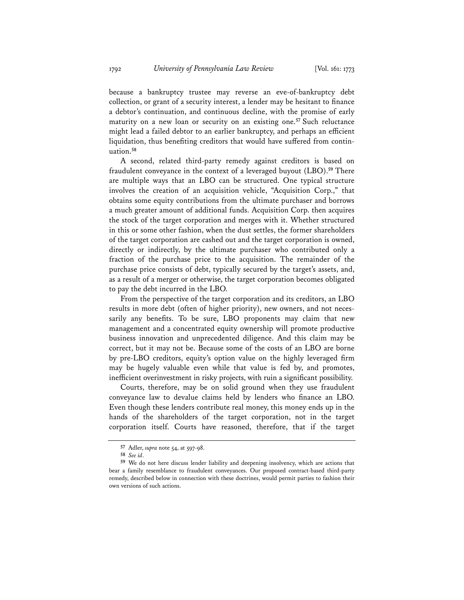because a bankruptcy trustee may reverse an eve-of-bankruptcy debt collection, or grant of a security interest, a lender may be hesitant to finance a debtor's continuation, and continuous decline, with the promise of early maturity on a new loan or security on an existing one.**<sup>57</sup>** Such reluctance might lead a failed debtor to an earlier bankruptcy, and perhaps an efficient liquidation, thus benefiting creditors that would have suffered from continuation.**<sup>58</sup>**

A second, related third-party remedy against creditors is based on fraudulent conveyance in the context of a leveraged buyout (LBO).**<sup>59</sup>** There are multiple ways that an LBO can be structured. One typical structure involves the creation of an acquisition vehicle, "Acquisition Corp.," that obtains some equity contributions from the ultimate purchaser and borrows a much greater amount of additional funds. Acquisition Corp. then acquires the stock of the target corporation and merges with it. Whether structured in this or some other fashion, when the dust settles, the former shareholders of the target corporation are cashed out and the target corporation is owned, directly or indirectly, by the ultimate purchaser who contributed only a fraction of the purchase price to the acquisition. The remainder of the purchase price consists of debt, typically secured by the target's assets, and, as a result of a merger or otherwise, the target corporation becomes obligated to pay the debt incurred in the LBO.

From the perspective of the target corporation and its creditors, an LBO results in more debt (often of higher priority), new owners, and not necessarily any benefits. To be sure, LBO proponents may claim that new management and a concentrated equity ownership will promote productive business innovation and unprecedented diligence. And this claim may be correct, but it may not be. Because some of the costs of an LBO are borne by pre-LBO creditors, equity's option value on the highly leveraged firm may be hugely valuable even while that value is fed by, and promotes, inefficient overinvestment in risky projects, with ruin a significant possibility.

Courts, therefore, may be on solid ground when they use fraudulent conveyance law to devalue claims held by lenders who finance an LBO. Even though these lenders contribute real money, this money ends up in the hands of the shareholders of the target corporation, not in the target corporation itself. Courts have reasoned, therefore, that if the target

**<sup>57</sup>** Adler, *supra* note 54, at 597-98.

**<sup>58</sup>** *See id*.

**<sup>59</sup>** We do not here discuss lender liability and deepening insolvency, which are actions that bear a family resemblance to fraudulent conveyances. Our proposed contract-based third-party remedy, described below in connection with these doctrines, would permit parties to fashion their own versions of such actions.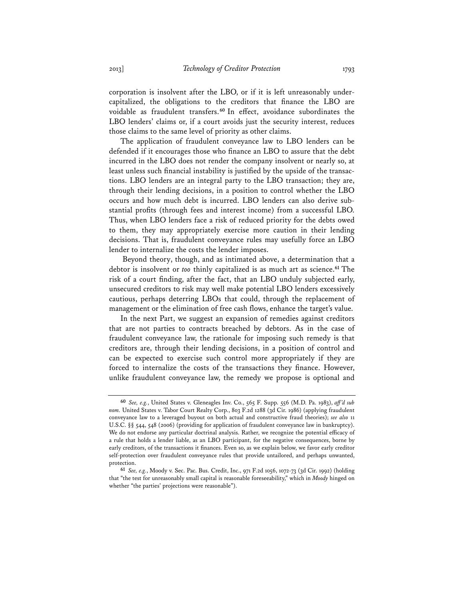corporation is insolvent after the LBO, or if it is left unreasonably undercapitalized, the obligations to the creditors that finance the LBO are voidable as fraudulent transfers.**<sup>60</sup>** In effect, avoidance subordinates the LBO lenders' claims or, if a court avoids just the security interest, reduces those claims to the same level of priority as other claims.

The application of fraudulent conveyance law to LBO lenders can be defended if it encourages those who finance an LBO to assure that the debt incurred in the LBO does not render the company insolvent or nearly so, at least unless such financial instability is justified by the upside of the transactions. LBO lenders are an integral party to the LBO transaction; they are, through their lending decisions, in a position to control whether the LBO occurs and how much debt is incurred. LBO lenders can also derive substantial profits (through fees and interest income) from a successful LBO. Thus, when LBO lenders face a risk of reduced priority for the debts owed to them, they may appropriately exercise more caution in their lending decisions. That is, fraudulent conveyance rules may usefully force an LBO lender to internalize the costs the lender imposes.

 Beyond theory, though, and as intimated above, a determination that a debtor is insolvent or *too* thinly capitalized is as much art as science.**<sup>61</sup>** The risk of a court finding, after the fact, that an LBO unduly subjected early, unsecured creditors to risk may well make potential LBO lenders excessively cautious, perhaps deterring LBOs that could, through the replacement of management or the elimination of free cash flows, enhance the target's value.

In the next Part, we suggest an expansion of remedies against creditors that are not parties to contracts breached by debtors. As in the case of fraudulent conveyance law, the rationale for imposing such remedy is that creditors are, through their lending decisions, in a position of control and can be expected to exercise such control more appropriately if they are forced to internalize the costs of the transactions they finance. However, unlike fraudulent conveyance law, the remedy we propose is optional and

**<sup>60</sup>** *See, e.g.*, United States v. Gleneagles Inv. Co., 565 F. Supp. 556 (M.D. Pa. 1983), *aff 'd sub nom.* United States v. Tabor Court Realty Corp., 803 F.2d 1288 (3d Cir. 1986) (applying fraudulent conveyance law to a leveraged buyout on both actual and constructive fraud theories); *see also* 11 U.S.C. §§ 544, 548 (2006) (providing for application of fraudulent conveyance law in bankruptcy). We do not endorse any particular doctrinal analysis. Rather, we recognize the potential efficacy of a rule that holds a lender liable, as an LBO participant, for the negative consequences, borne by early creditors, of the transactions it finances. Even so, as we explain below, we favor early creditor self-protection over fraudulent conveyance rules that provide untailored, and perhaps unwanted, protection.

**<sup>61</sup>** *See, e.g.*, Moody v. Sec. Pac. Bus. Credit, Inc., 971 F.2d 1056, 1072-73 (3d Cir. 1992) (holding that "the test for unreasonably small capital is reasonable foreseeability," which in *Moody* hinged on whether "the parties' projections were reasonable").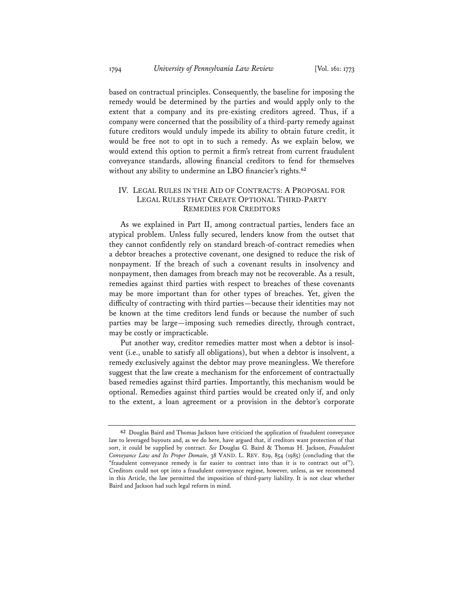based on contractual principles. Consequently, the baseline for imposing the remedy would be determined by the parties and would apply only to the extent that a company and its pre-existing creditors agreed. Thus, if a company were concerned that the possibility of a third-party remedy against future creditors would unduly impede its ability to obtain future credit, it would be free not to opt in to such a remedy. As we explain below, we would extend this option to permit a firm's retreat from current fraudulent conveyance standards, allowing financial creditors to fend for themselves without any ability to undermine an LBO financier's rights.**<sup>62</sup>**

### IV. LEGAL RULES IN THE AID OF CONTRACTS: A PROPOSAL FOR LEGAL RULES THAT CREATE OPTIONAL THIRD-PARTY REMEDIES FOR CREDITORS

As we explained in Part II, among contractual parties, lenders face an atypical problem. Unless fully secured, lenders know from the outset that they cannot confidently rely on standard breach-of-contract remedies when a debtor breaches a protective covenant, one designed to reduce the risk of nonpayment. If the breach of such a covenant results in insolvency and nonpayment, then damages from breach may not be recoverable. As a result, remedies against third parties with respect to breaches of these covenants may be more important than for other types of breaches. Yet, given the difficulty of contracting with third parties—because their identities may not be known at the time creditors lend funds or because the number of such parties may be large—imposing such remedies directly, through contract, may be costly or impracticable.

Put another way, creditor remedies matter most when a debtor is insolvent (i.e., unable to satisfy all obligations), but when a debtor is insolvent, a remedy exclusively against the debtor may prove meaningless. We therefore suggest that the law create a mechanism for the enforcement of contractually based remedies against third parties. Importantly, this mechanism would be optional. Remedies against third parties would be created only if, and only to the extent, a loan agreement or a provision in the debtor's corporate

**<sup>62</sup>** Douglas Baird and Thomas Jackson have criticized the application of fraudulent conveyance law to leveraged buyouts and, as we do here, have argued that, if creditors want protection of that sort, it could be supplied by contract. *See* Douglas G. Baird & Thomas H. Jackson, *Fraudulent Conveyance Law and Its Proper Domain*, 38 VAND. L. REV. 829, 854 (1985) (concluding that the "fraudulent conveyance remedy is far easier to contract into than it is to contract out of"). Creditors could not opt into a fraudulent conveyance regime, however, unless, as we recommend in this Article, the law permitted the imposition of third-party liability. It is not clear whether Baird and Jackson had such legal reform in mind.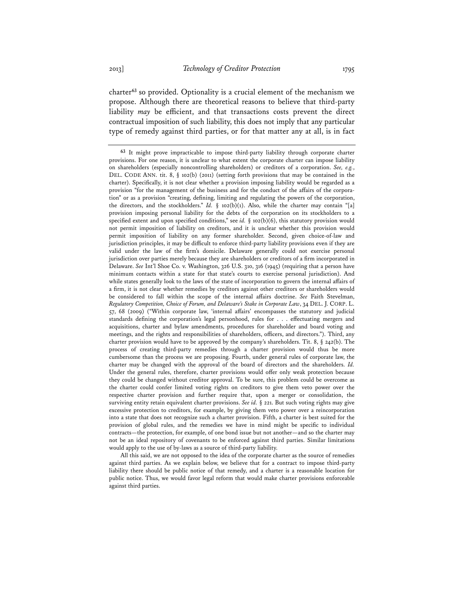charter**<sup>63</sup>** so provided. Optionality is a crucial element of the mechanism we propose. Although there are theoretical reasons to believe that third-party liability *may* be efficient, and that transactions costs prevent the direct contractual imposition of such liability, this does not imply that any particular type of remedy against third parties, or for that matter any at all, is in fact

All this said, we are not opposed to the idea of the corporate charter as the source of remedies against third parties. As we explain below, we believe that for a contract to impose third-party liability there should be public notice of that remedy, and a charter is a reasonable location for public notice. Thus, we would favor legal reform that would make charter provisions enforceable against third parties.

**<sup>63</sup>** It might prove impracticable to impose third-party liability through corporate charter provisions. For one reason, it is unclear to what extent the corporate charter can impose liability on shareholders (especially noncontrolling shareholders) or creditors of a corporation. *See, e.g.*, DEL. CODE ANN. tit. 8, § 102(b) (2011) (setting forth provisions that may be contained in the charter). Specifically, it is not clear whether a provision imposing liability would be regarded as a provision "for the management of the business and for the conduct of the affairs of the corporation" or as a provision "creating, defining, limiting and regulating the powers of the corporation, the directors, and the stockholders." *Id.*  $\S$  102(b)(1). Also, while the charter may contain "[a] provision imposing personal liability for the debts of the corporation on its stockholders to a specified extent and upon specified conditions," see *id.* § 102(b)(6), this statutory provision would not permit imposition of liability on creditors, and it is unclear whether this provision would permit imposition of liability on any former shareholder. Second, given choice-of-law and jurisdiction principles, it may be difficult to enforce third-party liability provisions even if they are valid under the law of the firm's domicile. Delaware generally could not exercise personal jurisdiction over parties merely because they are shareholders or creditors of a firm incorporated in Delaware. *See* Int'l Shoe Co. v. Washington, 326 U.S. 310, 316 (1945) (requiring that a person have minimum contacts within a state for that state's courts to exercise personal jurisdiction). And while states generally look to the laws of the state of incorporation to govern the internal affairs of a firm, it is not clear whether remedies by creditors against other creditors or shareholders would be considered to fall within the scope of the internal affairs doctrine. *See* Faith Stevelman, *Regulatory Competition, Choice of Forum, and Delaware's Stake in Corporate Law*, 34 DEL. J. CORP. L. 57, 68 (2009) ("Within corporate law, 'internal affairs' encompasses the statutory and judicial standards defining the corporation's legal personhood, rules for . . . effectuating mergers and acquisitions, charter and bylaw amendments, procedures for shareholder and board voting and meetings, and the rights and responsibilities of shareholders, officers, and directors."). Third, any charter provision would have to be approved by the company's shareholders. Tit. 8,  $\S$  242(b). The process of creating third-party remedies through a charter provision would thus be more cumbersome than the process we are proposing. Fourth, under general rules of corporate law, the charter may be changed with the approval of the board of directors and the shareholders. *Id.* Under the general rules, therefore, charter provisions would offer only weak protection because they could be changed without creditor approval. To be sure, this problem could be overcome as the charter could confer limited voting rights on creditors to give them veto power over the respective charter provision and further require that, upon a merger or consolidation, the surviving entity retain equivalent charter provisions. *See id.* § 221. But such voting rights may give excessive protection to creditors, for example, by giving them veto power over a reincorporation into a state that does not recognize such a charter provision. Fifth, a charter is best suited for the provision of global rules, and the remedies we have in mind might be specific to individual contracts—the protection, for example, of one bond issue but not another—and so the charter may not be an ideal repository of covenants to be enforced against third parties. Similar limitations would apply to the use of by-laws as a source of third-party liability.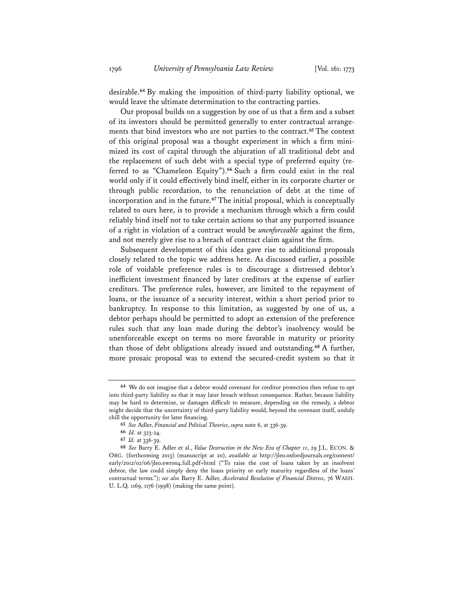desirable.**<sup>64</sup>** By making the imposition of third-party liability optional, we would leave the ultimate determination to the contracting parties.

Our proposal builds on a suggestion by one of us that a firm and a subset of its investors should be permitted generally to enter contractual arrangements that bind investors who are not parties to the contract.**<sup>65</sup>** The context of this original proposal was a thought experiment in which a firm minimized its cost of capital through the abjuration of all traditional debt and the replacement of such debt with a special type of preferred equity (referred to as "Chameleon Equity").**<sup>66</sup>** Such a firm could exist in the real world only if it could effectively bind itself, either in its corporate charter or through public recordation, to the renunciation of debt at the time of incorporation and in the future.**<sup>67</sup>** The initial proposal, which is conceptually related to ours here, is to provide a mechanism through which a firm could reliably bind itself not to take certain actions so that any purported issuance of a right in violation of a contract would be *unenforceable* against the firm, and not merely give rise to a breach of contract claim against the firm.

Subsequent development of this idea gave rise to additional proposals closely related to the topic we address here. As discussed earlier, a possible role of voidable preference rules is to discourage a distressed debtor's inefficient investment financed by later creditors at the expense of earlier creditors. The preference rules, however, are limited to the repayment of loans, or the issuance of a security interest, within a short period prior to bankruptcy. In response to this limitation, as suggested by one of us, a debtor perhaps should be permitted to adopt an extension of the preference rules such that any loan made during the debtor's insolvency would be unenforceable except on terms no more favorable in maturity or priority than those of debt obligations already issued and outstanding.**<sup>68</sup>** A further, more prosaic proposal was to extend the secured-credit system so that it

**<sup>64</sup>** We do not imagine that a debtor would covenant for creditor protection then refuse to opt into third-party liability so that it may later breach without consequence. Rather, because liability may be hard to determine, or damages difficult to measure, depending on the remedy, a debtor might decide that the uncertainty of third-party liability would, beyond the covenant itself, unduly chill the opportunity for later financing.

**<sup>65</sup>** *See* Adler, *Financial and Political Theories*, *supra* note 6, at 336-39.

**<sup>66</sup>** *Id.* at 323-24.

**<sup>67</sup>** *Id.* at 336-39.

**<sup>68</sup>** *See* Barry E. Adler et al., *Value Destruction in the New Era of Chapter 11*, 29 J.L. ECON. & ORG. (forthcoming 2013) (manuscript at 20), *available at* http://jleo.oxfordjournals.org/content/ early/2012/02/06/jleo.ewr004.full.pdf+html ("To raise the cost of loans taken by an insolvent debtor, the law could simply deny the loans priority or early maturity regardless of the loans' contractual terms."); *see also* Barry E. Adler, *Accelerated Resolution of Financial Distress*, 76 WASH. U. L.Q. 1169, 1176 (1998) (making the same point).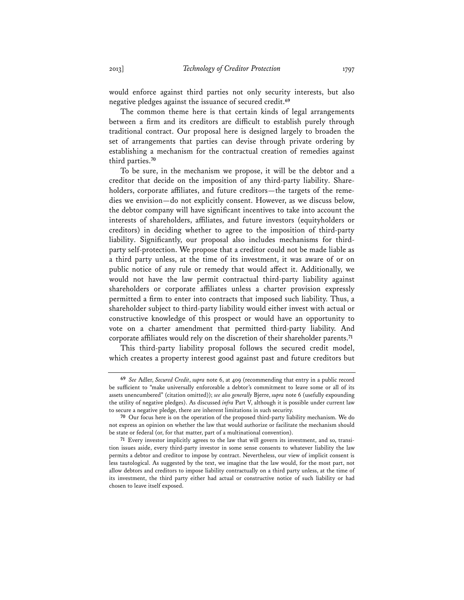would enforce against third parties not only security interests, but also negative pledges against the issuance of secured credit.**<sup>69</sup>**

The common theme here is that certain kinds of legal arrangements between a firm and its creditors are difficult to establish purely through traditional contract. Our proposal here is designed largely to broaden the set of arrangements that parties can devise through private ordering by establishing a mechanism for the contractual creation of remedies against third parties.**<sup>70</sup>**

To be sure, in the mechanism we propose, it will be the debtor and a creditor that decide on the imposition of any third-party liability. Shareholders, corporate affiliates, and future creditors—the targets of the remedies we envision—do not explicitly consent. However, as we discuss below, the debtor company will have significant incentives to take into account the interests of shareholders, affiliates, and future investors (equityholders or creditors) in deciding whether to agree to the imposition of third-party liability. Significantly, our proposal also includes mechanisms for thirdparty self-protection. We propose that a creditor could not be made liable as a third party unless, at the time of its investment, it was aware of or on public notice of any rule or remedy that would affect it. Additionally, we would not have the law permit contractual third-party liability against shareholders or corporate affiliates unless a charter provision expressly permitted a firm to enter into contracts that imposed such liability. Thus, a shareholder subject to third-party liability would either invest with actual or constructive knowledge of this prospect or would have an opportunity to vote on a charter amendment that permitted third-party liability. And corporate affiliates would rely on the discretion of their shareholder parents.**<sup>71</sup>**

This third-party liability proposal follows the secured credit model, which creates a property interest good against past and future creditors but

**<sup>69</sup>** *See* Adler, *Secured Credit*, *supra* note 6, at 409 (recommending that entry in a public record be sufficient to "make universally enforceable a debtor's commitment to leave some or all of its assets unencumbered" (citation omitted)); *see also generally* Bjerre, *supra* note 6 (usefully expounding the utility of negative pledges). As discussed *infra* Part V, although it is possible under current law to secure a negative pledge, there are inherent limitations in such security.

**<sup>70</sup>** Our focus here is on the operation of the proposed third-party liability mechanism. We do not express an opinion on whether the law that would authorize or facilitate the mechanism should be state or federal (or, for that matter, part of a multinational convention).

**<sup>71</sup>** Every investor implicitly agrees to the law that will govern its investment, and so, transition issues aside, every third-party investor in some sense consents to whatever liability the law permits a debtor and creditor to impose by contract. Nevertheless, our view of implicit consent is less tautological. As suggested by the text, we imagine that the law would, for the most part, not allow debtors and creditors to impose liability contractually on a third party unless, at the time of its investment, the third party either had actual or constructive notice of such liability or had chosen to leave itself exposed.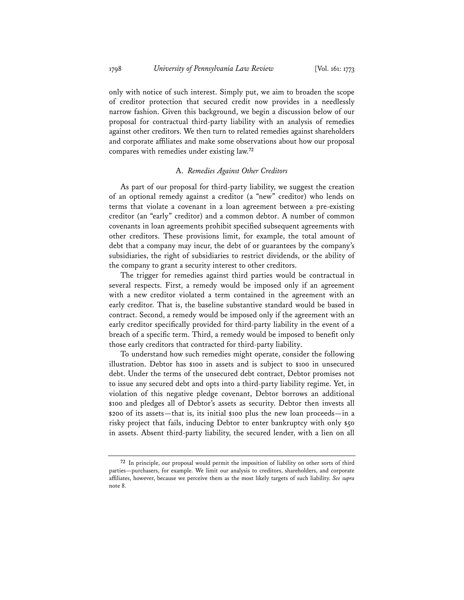only with notice of such interest. Simply put, we aim to broaden the scope of creditor protection that secured credit now provides in a needlessly narrow fashion. Given this background, we begin a discussion below of our proposal for contractual third-party liability with an analysis of remedies against other creditors. We then turn to related remedies against shareholders and corporate affiliates and make some observations about how our proposal compares with remedies under existing law.**<sup>72</sup>**

#### A. *Remedies Against Other Creditors*

As part of our proposal for third-party liability, we suggest the creation of an optional remedy against a creditor (a "new" creditor) who lends on terms that violate a covenant in a loan agreement between a pre-existing creditor (an "early" creditor) and a common debtor. A number of common covenants in loan agreements prohibit specified subsequent agreements with other creditors. These provisions limit, for example, the total amount of debt that a company may incur, the debt of or guarantees by the company's subsidiaries, the right of subsidiaries to restrict dividends, or the ability of the company to grant a security interest to other creditors.

The trigger for remedies against third parties would be contractual in several respects. First, a remedy would be imposed only if an agreement with a new creditor violated a term contained in the agreement with an early creditor. That is, the baseline substantive standard would be based in contract. Second, a remedy would be imposed only if the agreement with an early creditor specifically provided for third-party liability in the event of a breach of a specific term. Third, a remedy would be imposed to benefit only those early creditors that contracted for third-party liability.

To understand how such remedies might operate, consider the following illustration. Debtor has \$100 in assets and is subject to \$100 in unsecured debt. Under the terms of the unsecured debt contract, Debtor promises not to issue any secured debt and opts into a third-party liability regime. Yet, in violation of this negative pledge covenant, Debtor borrows an additional \$100 and pledges all of Debtor's assets as security. Debtor then invests all \$200 of its assets—that is, its initial \$100 plus the new loan proceeds—in a risky project that fails, inducing Debtor to enter bankruptcy with only \$50 in assets. Absent third-party liability, the secured lender, with a lien on all

**<sup>72</sup>** In principle, our proposal would permit the imposition of liability on other sorts of third parties—purchasers, for example. We limit our analysis to creditors, shareholders, and corporate affiliates, however, because we perceive them as the most likely targets of such liability. *See supra* note 8.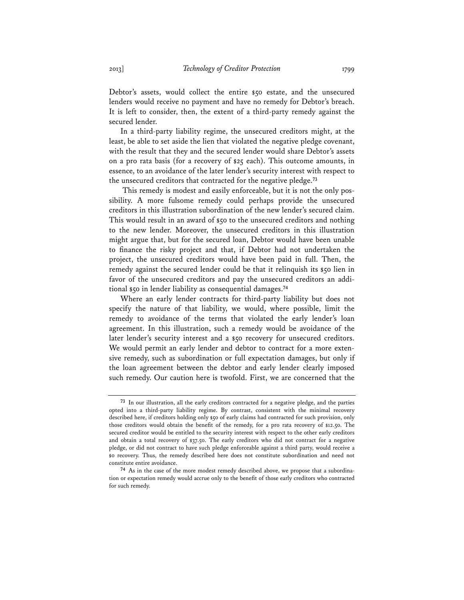Debtor's assets, would collect the entire \$50 estate, and the unsecured lenders would receive no payment and have no remedy for Debtor's breach. It is left to consider, then, the extent of a third-party remedy against the secured lender.

In a third-party liability regime, the unsecured creditors might, at the least, be able to set aside the lien that violated the negative pledge covenant, with the result that they and the secured lender would share Debtor's assets on a pro rata basis (for a recovery of \$25 each). This outcome amounts, in essence, to an avoidance of the later lender's security interest with respect to the unsecured creditors that contracted for the negative pledge.**<sup>73</sup>**

 This remedy is modest and easily enforceable, but it is not the only possibility. A more fulsome remedy could perhaps provide the unsecured creditors in this illustration subordination of the new lender's secured claim. This would result in an award of \$50 to the unsecured creditors and nothing to the new lender. Moreover, the unsecured creditors in this illustration might argue that, but for the secured loan, Debtor would have been unable to finance the risky project and that, if Debtor had not undertaken the project, the unsecured creditors would have been paid in full. Then, the remedy against the secured lender could be that it relinquish its \$50 lien in favor of the unsecured creditors and pay the unsecured creditors an additional \$50 in lender liability as consequential damages.**<sup>74</sup>**

Where an early lender contracts for third-party liability but does not specify the nature of that liability, we would, where possible, limit the remedy to avoidance of the terms that violated the early lender's loan agreement. In this illustration, such a remedy would be avoidance of the later lender's security interest and a \$50 recovery for unsecured creditors. We would permit an early lender and debtor to contract for a more extensive remedy, such as subordination or full expectation damages, but only if the loan agreement between the debtor and early lender clearly imposed such remedy. Our caution here is twofold. First, we are concerned that the

**<sup>73</sup>** In our illustration, all the early creditors contracted for a negative pledge, and the parties opted into a third-party liability regime. By contrast, consistent with the minimal recovery described here, if creditors holding only \$50 of early claims had contracted for such provision, only those creditors would obtain the benefit of the remedy, for a pro rata recovery of \$12.50. The secured creditor would be entitled to the security interest with respect to the other early creditors and obtain a total recovery of \$37.50. The early creditors who did not contract for a negative pledge, or did not contract to have such pledge enforceable against a third party, would receive a \$0 recovery. Thus, the remedy described here does not constitute subordination and need not constitute entire avoidance.

**<sup>74</sup>** As in the case of the more modest remedy described above, we propose that a subordination or expectation remedy would accrue only to the benefit of those early creditors who contracted for such remedy.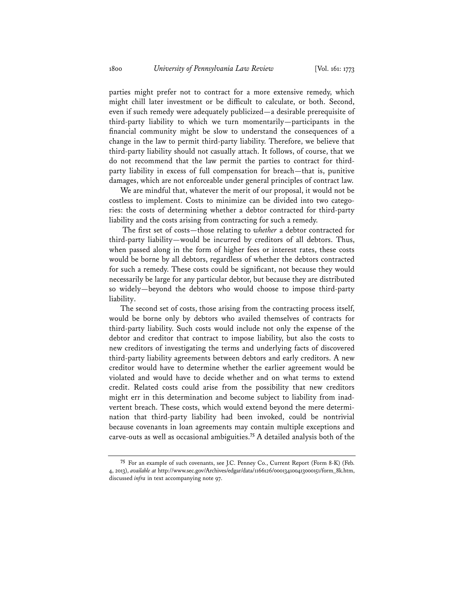parties might prefer not to contract for a more extensive remedy, which might chill later investment or be difficult to calculate, or both. Second, even if such remedy were adequately publicized—a desirable prerequisite of third-party liability to which we turn momentarily—participants in the financial community might be slow to understand the consequences of a change in the law to permit third-party liability. Therefore, we believe that third-party liability should not casually attach. It follows, of course, that we do not recommend that the law permit the parties to contract for thirdparty liability in excess of full compensation for breach—that is, punitive damages, which are not enforceable under general principles of contract law.

We are mindful that, whatever the merit of our proposal, it would not be costless to implement. Costs to minimize can be divided into two categories: the costs of determining whether a debtor contracted for third-party liability and the costs arising from contracting for such a remedy.

 The first set of costs—those relating to *whether* a debtor contracted for third-party liability—would be incurred by creditors of all debtors. Thus, when passed along in the form of higher fees or interest rates, these costs would be borne by all debtors, regardless of whether the debtors contracted for such a remedy. These costs could be significant, not because they would necessarily be large for any particular debtor, but because they are distributed so widely—beyond the debtors who would choose to impose third-party liability.

The second set of costs, those arising from the contracting process itself, would be borne only by debtors who availed themselves of contracts for third-party liability. Such costs would include not only the expense of the debtor and creditor that contract to impose liability, but also the costs to new creditors of investigating the terms and underlying facts of discovered third-party liability agreements between debtors and early creditors. A new creditor would have to determine whether the earlier agreement would be violated and would have to decide whether and on what terms to extend credit. Related costs could arise from the possibility that new creditors might err in this determination and become subject to liability from inadvertent breach. These costs, which would extend beyond the mere determination that third-party liability had been invoked, could be nontrivial because covenants in loan agreements may contain multiple exceptions and carve-outs as well as occasional ambiguities.**<sup>75</sup>** A detailed analysis both of the

**<sup>75</sup>** For an example of such covenants, see J.C. Penney Co., Current Report (Form 8-K) (Feb. 4, 2013), *available at* http://www.sec.gov/Archives/edgar/data/1166126/000134100413000151/form\_8k.htm, discussed *infra* in text accompanying note 97.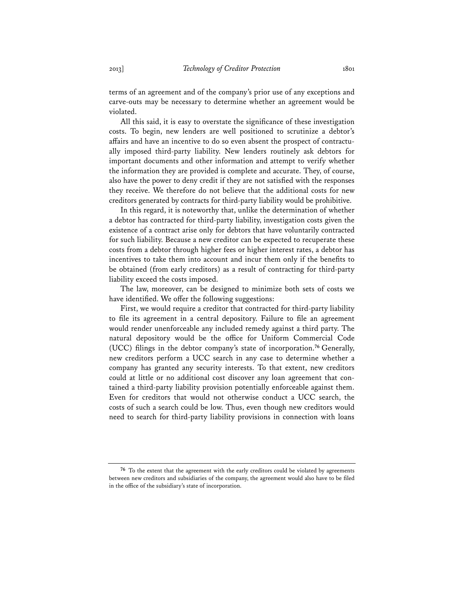terms of an agreement and of the company's prior use of any exceptions and carve-outs may be necessary to determine whether an agreement would be violated.

All this said, it is easy to overstate the significance of these investigation costs. To begin, new lenders are well positioned to scrutinize a debtor's affairs and have an incentive to do so even absent the prospect of contractually imposed third-party liability. New lenders routinely ask debtors for important documents and other information and attempt to verify whether the information they are provided is complete and accurate. They, of course, also have the power to deny credit if they are not satisfied with the responses they receive. We therefore do not believe that the additional costs for new creditors generated by contracts for third-party liability would be prohibitive.

In this regard, it is noteworthy that, unlike the determination of whether a debtor has contracted for third-party liability, investigation costs given the existence of a contract arise only for debtors that have voluntarily contracted for such liability. Because a new creditor can be expected to recuperate these costs from a debtor through higher fees or higher interest rates, a debtor has incentives to take them into account and incur them only if the benefits to be obtained (from early creditors) as a result of contracting for third-party liability exceed the costs imposed.

The law, moreover, can be designed to minimize both sets of costs we have identified. We offer the following suggestions:

First, we would require a creditor that contracted for third-party liability to file its agreement in a central depository. Failure to file an agreement would render unenforceable any included remedy against a third party. The natural depository would be the office for Uniform Commercial Code (UCC) filings in the debtor company's state of incorporation.**<sup>76</sup>** Generally, new creditors perform a UCC search in any case to determine whether a company has granted any security interests. To that extent, new creditors could at little or no additional cost discover any loan agreement that contained a third-party liability provision potentially enforceable against them. Even for creditors that would not otherwise conduct a UCC search, the costs of such a search could be low. Thus, even though new creditors would need to search for third-party liability provisions in connection with loans

**<sup>76</sup>** To the extent that the agreement with the early creditors could be violated by agreements between new creditors and subsidiaries of the company, the agreement would also have to be filed in the office of the subsidiary's state of incorporation.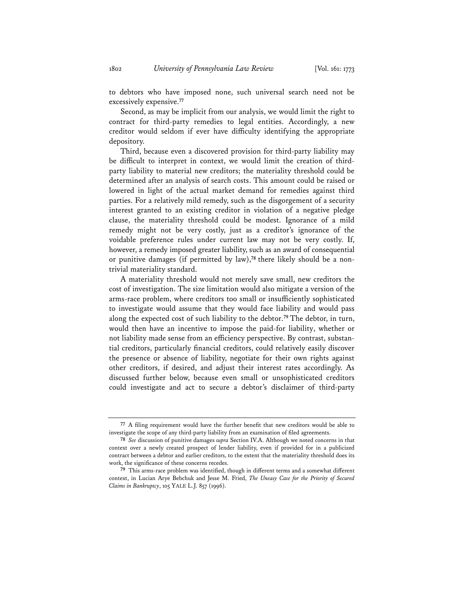to debtors who have imposed none, such universal search need not be excessively expensive.**<sup>77</sup>**

Second, as may be implicit from our analysis, we would limit the right to contract for third-party remedies to legal entities. Accordingly, a new creditor would seldom if ever have difficulty identifying the appropriate depository.

Third, because even a discovered provision for third-party liability may be difficult to interpret in context, we would limit the creation of thirdparty liability to material new creditors; the materiality threshold could be determined after an analysis of search costs. This amount could be raised or lowered in light of the actual market demand for remedies against third parties. For a relatively mild remedy, such as the disgorgement of a security interest granted to an existing creditor in violation of a negative pledge clause, the materiality threshold could be modest. Ignorance of a mild remedy might not be very costly, just as a creditor's ignorance of the voidable preference rules under current law may not be very costly. If, however, a remedy imposed greater liability, such as an award of consequential or punitive damages (if permitted by law),**78** there likely should be a nontrivial materiality standard.

A materiality threshold would not merely save small, new creditors the cost of investigation. The size limitation would also mitigate a version of the arms-race problem, where creditors too small or insufficiently sophisticated to investigate would assume that they would face liability and would pass along the expected cost of such liability to the debtor.**<sup>79</sup>** The debtor, in turn, would then have an incentive to impose the paid-for liability, whether or not liability made sense from an efficiency perspective. By contrast, substantial creditors, particularly financial creditors, could relatively easily discover the presence or absence of liability, negotiate for their own rights against other creditors, if desired, and adjust their interest rates accordingly. As discussed further below, because even small or unsophisticated creditors could investigate and act to secure a debtor's disclaimer of third-party

**<sup>77</sup>** A filing requirement would have the further benefit that new creditors would be able to investigate the scope of any third-party liability from an examination of filed agreements.

**<sup>78</sup>** *See* discussion of punitive damages *supra* Section IV.A. Although we noted concerns in that context over a newly created prospect of lender liability, even if provided for in a publicized contract between a debtor and earlier creditors, to the extent that the materiality threshold does its work, the significance of these concerns recedes.

**<sup>79</sup>** This arms-race problem was identified, though in different terms and a somewhat different context, in Lucian Arye Bebchuk and Jesse M. Fried, *The Uneasy Case for the Priority of Secured Claims in Bankruptcy*, 105 YALE L.J. 857 (1996).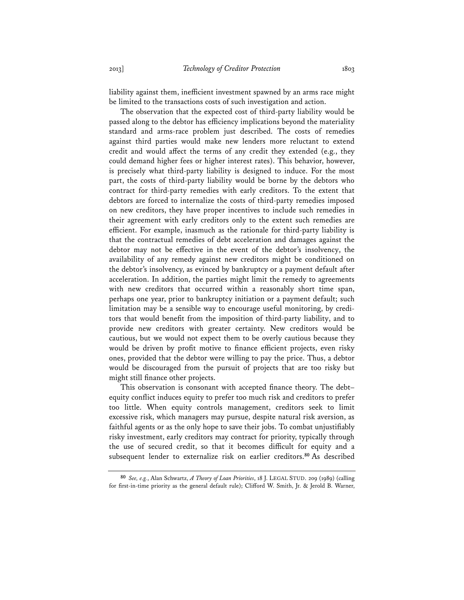liability against them, inefficient investment spawned by an arms race might be limited to the transactions costs of such investigation and action.

The observation that the expected cost of third-party liability would be passed along to the debtor has efficiency implications beyond the materiality standard and arms-race problem just described. The costs of remedies against third parties would make new lenders more reluctant to extend credit and would affect the terms of any credit they extended (e.g., they could demand higher fees or higher interest rates). This behavior, however, is precisely what third-party liability is designed to induce. For the most part, the costs of third-party liability would be borne by the debtors who contract for third-party remedies with early creditors. To the extent that debtors are forced to internalize the costs of third-party remedies imposed on new creditors, they have proper incentives to include such remedies in their agreement with early creditors only to the extent such remedies are efficient. For example, inasmuch as the rationale for third-party liability is that the contractual remedies of debt acceleration and damages against the debtor may not be effective in the event of the debtor's insolvency, the availability of any remedy against new creditors might be conditioned on the debtor's insolvency, as evinced by bankruptcy or a payment default after acceleration. In addition, the parties might limit the remedy to agreements with new creditors that occurred within a reasonably short time span, perhaps one year, prior to bankruptcy initiation or a payment default; such limitation may be a sensible way to encourage useful monitoring, by creditors that would benefit from the imposition of third-party liability, and to provide new creditors with greater certainty. New creditors would be cautious, but we would not expect them to be overly cautious because they would be driven by profit motive to finance efficient projects, even risky ones, provided that the debtor were willing to pay the price. Thus, a debtor would be discouraged from the pursuit of projects that are too risky but might still finance other projects.

This observation is consonant with accepted finance theory. The debt– equity conflict induces equity to prefer too much risk and creditors to prefer too little. When equity controls management, creditors seek to limit excessive risk, which managers may pursue, despite natural risk aversion, as faithful agents or as the only hope to save their jobs. To combat unjustifiably risky investment, early creditors may contract for priority, typically through the use of secured credit, so that it becomes difficult for equity and a subsequent lender to externalize risk on earlier creditors.**<sup>80</sup>** As described

**<sup>80</sup>** *See, e.g.*, Alan Schwartz, *A Theory of Loan Priorities*, 18 J. LEGAL STUD. 209 (1989) (calling for first-in-time priority as the general default rule); Clifford W. Smith, Jr. & Jerold B. Warner,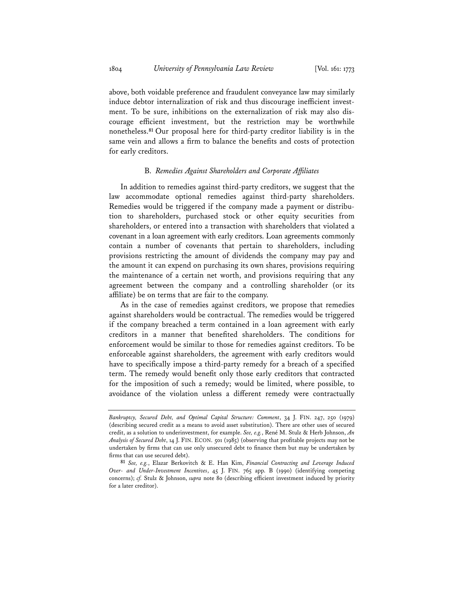above, both voidable preference and fraudulent conveyance law may similarly induce debtor internalization of risk and thus discourage inefficient investment. To be sure, inhibitions on the externalization of risk may also discourage efficient investment, but the restriction may be worthwhile nonetheless.**<sup>81</sup>** Our proposal here for third-party creditor liability is in the same vein and allows a firm to balance the benefits and costs of protection for early creditors.

#### B. *Remedies Against Shareholders and Corporate Affiliates*

In addition to remedies against third-party creditors, we suggest that the law accommodate optional remedies against third-party shareholders. Remedies would be triggered if the company made a payment or distribution to shareholders, purchased stock or other equity securities from shareholders, or entered into a transaction with shareholders that violated a covenant in a loan agreement with early creditors. Loan agreements commonly contain a number of covenants that pertain to shareholders, including provisions restricting the amount of dividends the company may pay and the amount it can expend on purchasing its own shares, provisions requiring the maintenance of a certain net worth, and provisions requiring that any agreement between the company and a controlling shareholder (or its affiliate) be on terms that are fair to the company.

As in the case of remedies against creditors, we propose that remedies against shareholders would be contractual. The remedies would be triggered if the company breached a term contained in a loan agreement with early creditors in a manner that benefited shareholders. The conditions for enforcement would be similar to those for remedies against creditors. To be enforceable against shareholders, the agreement with early creditors would have to specifically impose a third-party remedy for a breach of a specified term. The remedy would benefit only those early creditors that contracted for the imposition of such a remedy; would be limited, where possible, to avoidance of the violation unless a different remedy were contractually

*Bankruptcy, Secured Debt, and Optimal Capital Structure: Comment*, 34 J. FIN. 247, 250 (1979) (describing secured credit as a means to avoid asset substitution). There are other uses of secured credit, as a solution to underinvestment, for example. *See, e.g.*, René M. Stulz & Herb Johnson, *An Analysis of Secured Debt*, 14 J. FIN. ECON. 501 (1985) (observing that profitable projects may not be undertaken by firms that can use only unsecured debt to finance them but may be undertaken by firms that can use secured debt).

**<sup>81</sup>** *See, e.g.*, Elazar Berkovitch & E. Han Kim, *Financial Contracting and Leverage Induced Over- and Under-Investment Incentives*, 45 J. FIN. 765 app. B (1990) (identifying competing concerns); *cf.* Stulz & Johnson, *supra* note 80 (describing efficient investment induced by priority for a later creditor).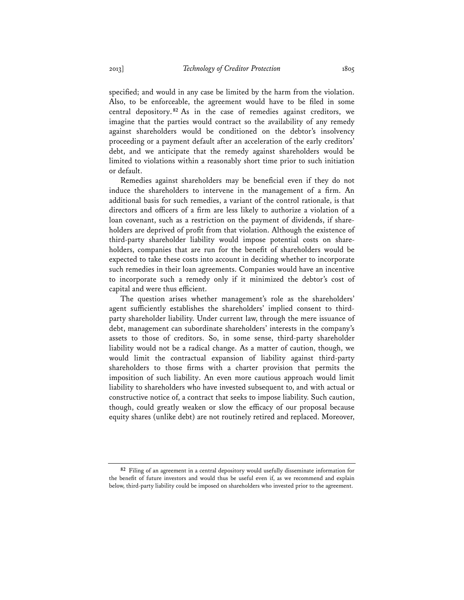specified; and would in any case be limited by the harm from the violation. Also, to be enforceable, the agreement would have to be filed in some central depository. **<sup>82</sup>** As in the case of remedies against creditors, we imagine that the parties would contract so the availability of any remedy against shareholders would be conditioned on the debtor's insolvency proceeding or a payment default after an acceleration of the early creditors' debt, and we anticipate that the remedy against shareholders would be limited to violations within a reasonably short time prior to such initiation or default.

Remedies against shareholders may be beneficial even if they do not induce the shareholders to intervene in the management of a firm. An additional basis for such remedies, a variant of the control rationale, is that directors and officers of a firm are less likely to authorize a violation of a loan covenant, such as a restriction on the payment of dividends, if shareholders are deprived of profit from that violation. Although the existence of third-party shareholder liability would impose potential costs on shareholders, companies that are run for the benefit of shareholders would be expected to take these costs into account in deciding whether to incorporate such remedies in their loan agreements. Companies would have an incentive to incorporate such a remedy only if it minimized the debtor's cost of capital and were thus efficient.

The question arises whether management's role as the shareholders' agent sufficiently establishes the shareholders' implied consent to thirdparty shareholder liability. Under current law, through the mere issuance of debt, management can subordinate shareholders' interests in the company's assets to those of creditors. So, in some sense, third-party shareholder liability would not be a radical change. As a matter of caution, though, we would limit the contractual expansion of liability against third-party shareholders to those firms with a charter provision that permits the imposition of such liability. An even more cautious approach would limit liability to shareholders who have invested subsequent to, and with actual or constructive notice of, a contract that seeks to impose liability. Such caution, though, could greatly weaken or slow the efficacy of our proposal because equity shares (unlike debt) are not routinely retired and replaced. Moreover,

**<sup>82</sup>** Filing of an agreement in a central depository would usefully disseminate information for the benefit of future investors and would thus be useful even if, as we recommend and explain below, third-party liability could be imposed on shareholders who invested prior to the agreement.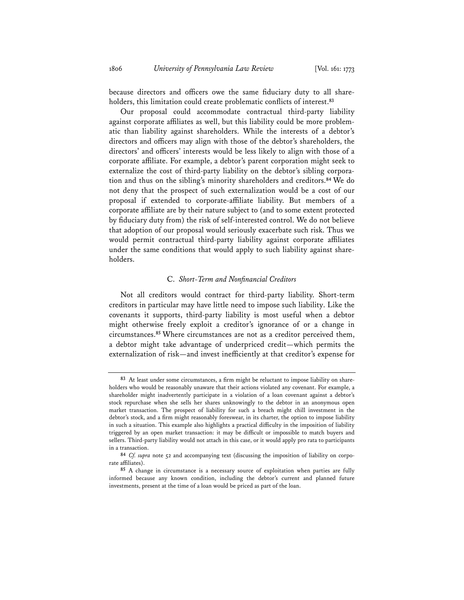because directors and officers owe the same fiduciary duty to all shareholders, this limitation could create problematic conflicts of interest.**<sup>83</sup>**

Our proposal could accommodate contractual third-party liability against corporate affiliates as well, but this liability could be more problematic than liability against shareholders. While the interests of a debtor's directors and officers may align with those of the debtor's shareholders, the directors' and officers' interests would be less likely to align with those of a corporate affiliate. For example, a debtor's parent corporation might seek to externalize the cost of third-party liability on the debtor's sibling corporation and thus on the sibling's minority shareholders and creditors.**<sup>84</sup>** We do not deny that the prospect of such externalization would be a cost of our proposal if extended to corporate-affiliate liability. But members of a corporate affiliate are by their nature subject to (and to some extent protected by fiduciary duty from) the risk of self-interested control. We do not believe that adoption of our proposal would seriously exacerbate such risk. Thus we would permit contractual third-party liability against corporate affiliates under the same conditions that would apply to such liability against shareholders.

#### C. *Short-Term and Nonfinancial Creditors*

Not all creditors would contract for third-party liability. Short-term creditors in particular may have little need to impose such liability. Like the covenants it supports, third-party liability is most useful when a debtor might otherwise freely exploit a creditor's ignorance of or a change in circumstances.**<sup>85</sup>** Where circumstances are not as a creditor perceived them, a debtor might take advantage of underpriced credit—which permits the externalization of risk—and invest inefficiently at that creditor's expense for

**<sup>83</sup>** At least under some circumstances, a firm might be reluctant to impose liability on shareholders who would be reasonably unaware that their actions violated any covenant. For example, a shareholder might inadvertently participate in a violation of a loan covenant against a debtor's stock repurchase when she sells her shares unknowingly to the debtor in an anonymous open market transaction. The prospect of liability for such a breach might chill investment in the debtor's stock, and a firm might reasonably foreswear, in its charter, the option to impose liability in such a situation. This example also highlights a practical difficulty in the imposition of liability triggered by an open market transaction: it may be difficult or impossible to match buyers and sellers. Third-party liability would not attach in this case, or it would apply pro rata to participants in a transaction.

**<sup>84</sup>** *Cf. supra* note 52 and accompanying text (discussing the imposition of liability on corporate affiliates).

**<sup>85</sup>** A change in circumstance is a necessary source of exploitation when parties are fully informed because any known condition, including the debtor's current and planned future investments, present at the time of a loan would be priced as part of the loan.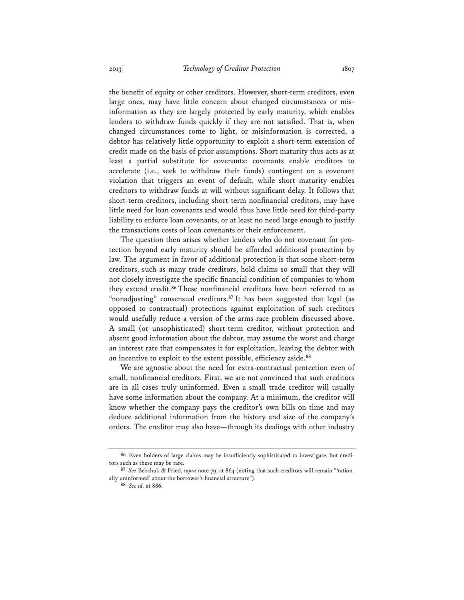the benefit of equity or other creditors. However, short-term creditors, even large ones, may have little concern about changed circumstances or misinformation as they are largely protected by early maturity, which enables lenders to withdraw funds quickly if they are not satisfied. That is, when changed circumstances come to light, or misinformation is corrected, a debtor has relatively little opportunity to exploit a short-term extension of credit made on the basis of prior assumptions. Short maturity thus acts as at least a partial substitute for covenants: covenants enable creditors to accelerate (i.e., seek to withdraw their funds) contingent on a covenant violation that triggers an event of default, while short maturity enables creditors to withdraw funds at will without significant delay. It follows that short-term creditors, including short-term nonfinancial creditors, may have little need for loan covenants and would thus have little need for third-party liability to enforce loan covenants, or at least no need large enough to justify the transactions costs of loan covenants or their enforcement.

The question then arises whether lenders who do not covenant for protection beyond early maturity should be afforded additional protection by law. The argument in favor of additional protection is that some short-term creditors, such as many trade creditors, hold claims so small that they will not closely investigate the specific financial condition of companies to whom they extend credit.**<sup>86</sup>** These nonfinancial creditors have been referred to as "nonadjusting" consensual creditors.**<sup>87</sup>** It has been suggested that legal (as opposed to contractual) protections against exploitation of such creditors would usefully reduce a version of the arms-race problem discussed above. A small (or unsophisticated) short-term creditor, without protection and absent good information about the debtor, may assume the worst and charge an interest rate that compensates it for exploitation, leaving the debtor with an incentive to exploit to the extent possible, efficiency aside.**<sup>88</sup>**

We are agnostic about the need for extra-contractual protection even of small, nonfinancial creditors. First, we are not convinced that such creditors are in all cases truly uninformed. Even a small trade creditor will usually have some information about the company. At a minimum, the creditor will know whether the company pays the creditor's own bills on time and may deduce additional information from the history and size of the company's orders. The creditor may also have—through its dealings with other industry

**<sup>86</sup>** Even holders of large claims may be insufficiently sophisticated to investigate, but creditors such as these may be rare.

**<sup>87</sup>** *See* Bebchuk & Fried, *supra* note 79, at 864 (noting that such creditors will remain "'rationally uninformed' about the borrower's financial structure").

**<sup>88</sup>** *See id.* at 886.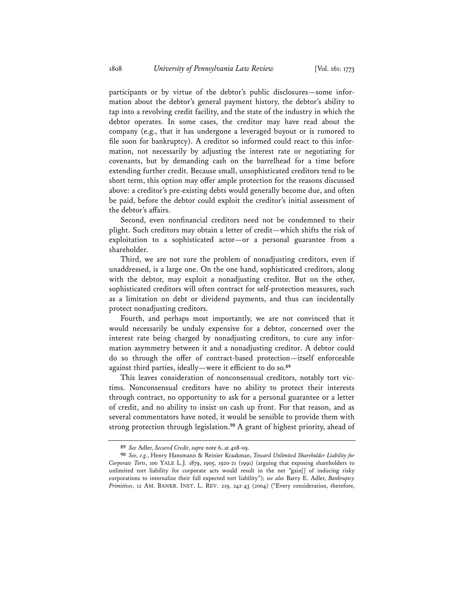participants or by virtue of the debtor's public disclosures—some information about the debtor's general payment history, the debtor's ability to tap into a revolving credit facility, and the state of the industry in which the debtor operates. In some cases, the creditor may have read about the company (e.g., that it has undergone a leveraged buyout or is rumored to file soon for bankruptcy). A creditor so informed could react to this information, not necessarily by adjusting the interest rate or negotiating for covenants, but by demanding cash on the barrelhead for a time before extending further credit. Because small, unsophisticated creditors tend to be short term, this option may offer ample protection for the reasons discussed above: a creditor's pre-existing debts would generally become due, and often be paid, before the debtor could exploit the creditor's initial assessment of the debtor's affairs.

Second, even nonfinancial creditors need not be condemned to their plight. Such creditors may obtain a letter of credit—which shifts the risk of exploitation to a sophisticated actor—or a personal guarantee from a shareholder.

Third, we are not sure the problem of nonadjusting creditors, even if unaddressed, is a large one. On the one hand, sophisticated creditors, along with the debtor, may exploit a nonadjusting creditor. But on the other, sophisticated creditors will often contract for self-protection measures, such as a limitation on debt or dividend payments, and thus can incidentally protect nonadjusting creditors.

Fourth, and perhaps most importantly, we are not convinced that it would necessarily be unduly expensive for a debtor, concerned over the interest rate being charged by nonadjusting creditors, to cure any information asymmetry between it and a nonadjusting creditor. A debtor could do so through the offer of contract-based protection—itself enforceable against third parties, ideally—were it efficient to do so.**<sup>89</sup>**

This leaves consideration of nonconsensual creditors, notably tort victims. Nonconsensual creditors have no ability to protect their interests through contract, no opportunity to ask for a personal guarantee or a letter of credit, and no ability to insist on cash up front. For that reason, and as several commentators have noted, it would be sensible to provide them with strong protection through legislation.**<sup>90</sup>** A grant of highest priority, ahead of

**<sup>89</sup>** *See* Adler, *Secured Credit*, *supra* note 6, at 408-09.

**<sup>90</sup>** *See, e.g.*, Henry Hansmann & Reinier Kraakman, *Toward Unlimited Shareholder Liability for Corporate Torts*, 100 YALE L.J. 1879, 1905, 1920-21 (1991) (arguing that exposing shareholders to unlimited tort liability for corporate acts would result in the net "gain[] of inducing risky corporations to internalize their full expected tort liability"); *see also* Barry E. Adler, *Bankruptcy Primitives*, 12 AM. BANKR. INST. L. REV. 219, 242-43 (2004) ("Every consideration, therefore,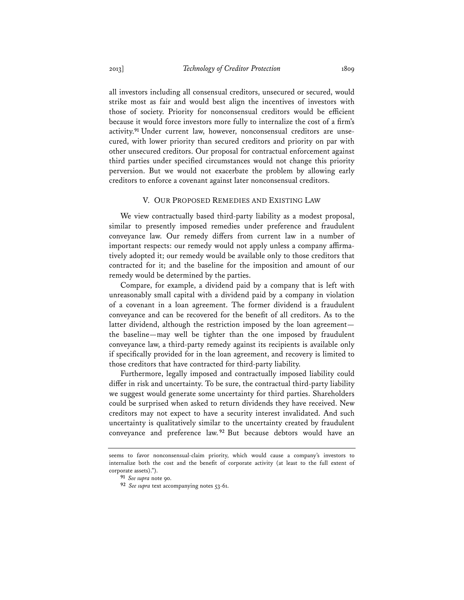all investors including all consensual creditors, unsecured or secured, would strike most as fair and would best align the incentives of investors with those of society. Priority for nonconsensual creditors would be efficient because it would force investors more fully to internalize the cost of a firm's activity.**91** Under current law, however, nonconsensual creditors are unsecured, with lower priority than secured creditors and priority on par with other unsecured creditors. Our proposal for contractual enforcement against third parties under specified circumstances would not change this priority perversion. But we would not exacerbate the problem by allowing early creditors to enforce a covenant against later nonconsensual creditors.

#### V. OUR PROPOSED REMEDIES AND EXISTING LAW

We view contractually based third-party liability as a modest proposal, similar to presently imposed remedies under preference and fraudulent conveyance law. Our remedy differs from current law in a number of important respects: our remedy would not apply unless a company affirmatively adopted it; our remedy would be available only to those creditors that contracted for it; and the baseline for the imposition and amount of our remedy would be determined by the parties.

Compare, for example, a dividend paid by a company that is left with unreasonably small capital with a dividend paid by a company in violation of a covenant in a loan agreement. The former dividend is a fraudulent conveyance and can be recovered for the benefit of all creditors. As to the latter dividend, although the restriction imposed by the loan agreement the baseline—may well be tighter than the one imposed by fraudulent conveyance law, a third-party remedy against its recipients is available only if specifically provided for in the loan agreement, and recovery is limited to those creditors that have contracted for third-party liability.

Furthermore, legally imposed and contractually imposed liability could differ in risk and uncertainty. To be sure, the contractual third-party liability we suggest would generate some uncertainty for third parties. Shareholders could be surprised when asked to return dividends they have received. New creditors may not expect to have a security interest invalidated. And such uncertainty is qualitatively similar to the uncertainty created by fraudulent conveyance and preference law. **<sup>92</sup>** But because debtors would have an

seems to favor nonconsensual-claim priority, which would cause a company's investors to internalize both the cost and the benefit of corporate activity (at least to the full extent of corporate assets).").

**<sup>91</sup>** *See supra* note 90.

**<sup>92</sup>** *See supra* text accompanying notes 53-61.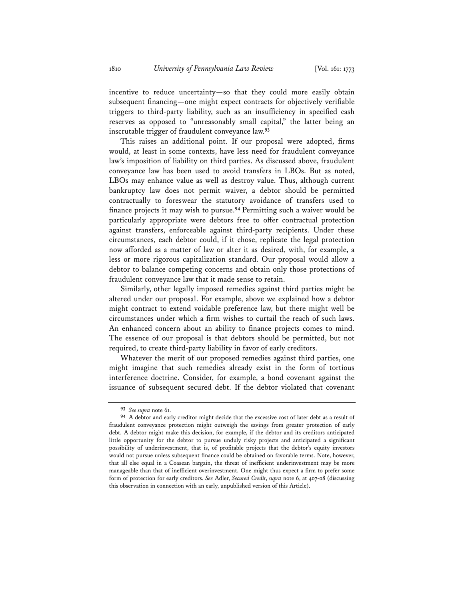incentive to reduce uncertainty—so that they could more easily obtain subsequent financing—one might expect contracts for objectively verifiable triggers to third-party liability, such as an insufficiency in specified cash reserves as opposed to "unreasonably small capital," the latter being an inscrutable trigger of fraudulent conveyance law.**<sup>93</sup>**

This raises an additional point. If our proposal were adopted, firms would, at least in some contexts, have less need for fraudulent conveyance law's imposition of liability on third parties. As discussed above, fraudulent conveyance law has been used to avoid transfers in LBOs. But as noted, LBOs may enhance value as well as destroy value. Thus, although current bankruptcy law does not permit waiver, a debtor should be permitted contractually to foreswear the statutory avoidance of transfers used to finance projects it may wish to pursue.**<sup>94</sup>** Permitting such a waiver would be particularly appropriate were debtors free to offer contractual protection against transfers, enforceable against third-party recipients. Under these circumstances, each debtor could, if it chose, replicate the legal protection now afforded as a matter of law or alter it as desired, with, for example, a less or more rigorous capitalization standard. Our proposal would allow a debtor to balance competing concerns and obtain only those protections of fraudulent conveyance law that it made sense to retain.

Similarly, other legally imposed remedies against third parties might be altered under our proposal. For example, above we explained how a debtor might contract to extend voidable preference law, but there might well be circumstances under which a firm wishes to curtail the reach of such laws. An enhanced concern about an ability to finance projects comes to mind. The essence of our proposal is that debtors should be permitted, but not required, to create third-party liability in favor of early creditors.

Whatever the merit of our proposed remedies against third parties, one might imagine that such remedies already exist in the form of tortious interference doctrine. Consider, for example, a bond covenant against the issuance of subsequent secured debt. If the debtor violated that covenant

**<sup>93</sup>** *See supra* note 61.

**<sup>94</sup>** A debtor and early creditor might decide that the excessive cost of later debt as a result of fraudulent conveyance protection might outweigh the savings from greater protection of early debt. A debtor might make this decision, for example, if the debtor and its creditors anticipated little opportunity for the debtor to pursue unduly risky projects and anticipated a significant possibility of underinvestment, that is, of profitable projects that the debtor's equity investors would not pursue unless subsequent finance could be obtained on favorable terms. Note, however, that all else equal in a Coasean bargain, the threat of inefficient underinvestment may be more manageable than that of inefficient overinvestment. One might thus expect a firm to prefer some form of protection for early creditors. *See* Adler, *Secured Credit*, *supra* note 6, at 407-08 (discussing this observation in connection with an early, unpublished version of this Article).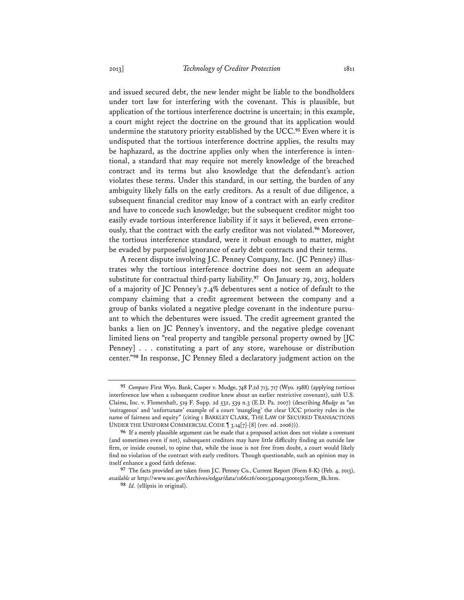and issued secured debt, the new lender might be liable to the bondholders under tort law for interfering with the covenant. This is plausible, but application of the tortious interference doctrine is uncertain; in this example, a court might reject the doctrine on the ground that its application would undermine the statutory priority established by the UCC.**<sup>95</sup>** Even where it is undisputed that the tortious interference doctrine applies, the results may be haphazard, as the doctrine applies only when the interference is intentional, a standard that may require not merely knowledge of the breached contract and its terms but also knowledge that the defendant's action violates these terms. Under this standard, in our setting, the burden of any ambiguity likely falls on the early creditors. As a result of due diligence, a subsequent financial creditor may know of a contract with an early creditor and have to concede such knowledge; but the subsequent creditor might too easily evade tortious interference liability if it says it believed, even erroneously, that the contract with the early creditor was not violated.**<sup>96</sup>** Moreover, the tortious interference standard, were it robust enough to matter, might be evaded by purposeful ignorance of early debt contracts and their terms.

A recent dispute involving J.C. Penney Company, Inc. (JC Penney) illustrates why the tortious interference doctrine does not seem an adequate substitute for contractual third-party liability.**<sup>97</sup>** On January 29, 2013, holders of a majority of JC Penney's 7.4% debentures sent a notice of default to the company claiming that a credit agreement between the company and a group of banks violated a negative pledge covenant in the indenture pursuant to which the debentures were issued. The credit agreement granted the banks a lien on JC Penney's inventory, and the negative pledge covenant limited liens on "real property and tangible personal property owned by [JC Penney] . . . constituting a part of any store, warehouse or distribution center."**<sup>98</sup>** In response, JC Penney filed a declaratory judgment action on the

**<sup>95</sup>** *Compare* First Wyo. Bank, Casper v. Mudge, 748 P.2d 713, 717 (Wyo. 1988) (applying tortious interference law when a subsequent creditor knew about an earlier restrictive covenant), *with* U.S. Claims, Inc. v. Flomenhaft, 519 F. Supp. 2d 532, 539 n.3 (E.D. Pa. 2007) (describing *Mudge* as "an 'outrageous' and 'unfortunate' example of a court 'mangling' the clear UCC priority rules in the name of fairness and equity" (citing 1 BARKLEY CLARK, THE LAW OF SECURED TRANSACTIONS UNDER THE UNIFORM COMMERCIAL CODE ¶ 3.14[7]-[8] (rev. ed. 2006))).

**<sup>96</sup>** If a merely plausible argument can be made that a proposed action does not violate a covenant (and sometimes even if not), subsequent creditors may have little difficulty finding an outside law firm, or inside counsel, to opine that, while the issue is not free from doubt, a court would likely find no violation of the contract with early creditors. Though questionable, such an opinion may in itself enhance a good faith defense.

**<sup>97</sup>** The facts provided are taken from J.C. Penney Co., Current Report (Form 8-K) (Feb. 4, 2013), *available at* http://www.sec.gov/Archives/edgar/data/1166126/000134100413000151/form\_8k.htm.

**<sup>98</sup>** *Id.* (ellipsis in original).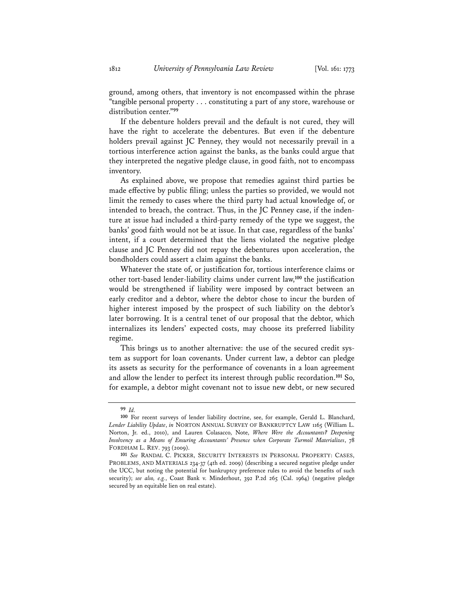ground, among others, that inventory is not encompassed within the phrase "tangible personal property . . . constituting a part of any store, warehouse or distribution center."**<sup>99</sup>**

If the debenture holders prevail and the default is not cured, they will have the right to accelerate the debentures. But even if the debenture holders prevail against JC Penney, they would not necessarily prevail in a tortious interference action against the banks, as the banks could argue that they interpreted the negative pledge clause, in good faith, not to encompass inventory.

As explained above, we propose that remedies against third parties be made effective by public filing; unless the parties so provided, we would not limit the remedy to cases where the third party had actual knowledge of, or intended to breach, the contract. Thus, in the JC Penney case, if the indenture at issue had included a third-party remedy of the type we suggest, the banks' good faith would not be at issue. In that case, regardless of the banks' intent, if a court determined that the liens violated the negative pledge clause and JC Penney did not repay the debentures upon acceleration, the bondholders could assert a claim against the banks.

Whatever the state of, or justification for, tortious interference claims or other tort-based lender-liability claims under current law,**<sup>100</sup>** the justification would be strengthened if liability were imposed by contract between an early creditor and a debtor, where the debtor chose to incur the burden of higher interest imposed by the prospect of such liability on the debtor's later borrowing. It is a central tenet of our proposal that the debtor, which internalizes its lenders' expected costs, may choose its preferred liability regime.

This brings us to another alternative: the use of the secured credit system as support for loan covenants. Under current law, a debtor can pledge its assets as security for the performance of covenants in a loan agreement and allow the lender to perfect its interest through public recordation.**<sup>101</sup>** So, for example, a debtor might covenant not to issue new debt, or new secured

**<sup>99</sup>** *Id.*

**<sup>100</sup>** For recent surveys of lender liability doctrine, see, for example, Gerald L. Blanchard, *Lender Liability Update*, *in* NORTON ANNUAL SURVEY OF BANKRUPTCY LAW 1165 (William L. Norton, Jr. ed., 2010), and Lauren Colasacco, Note, *Where Were the Accountants? Deepening Insolvency as a Means of Ensuring Accountants' Presence when Corporate Turmoil Materializes*, 78 FORDHAM L. REV. 793 (2009).

**<sup>101</sup>** *See* RANDAL C. PICKER, SECURITY INTERESTS IN PERSONAL PROPERTY: CASES, PROBLEMS, AND MATERIALS 234-37 (4th ed. 2009) (describing a secured negative pledge under the UCC, but noting the potential for bankruptcy preference rules to avoid the benefits of such security); *see also, e.g.*, Coast Bank v. Minderhout, 392 P.2d 265 (Cal. 1964) (negative pledge secured by an equitable lien on real estate).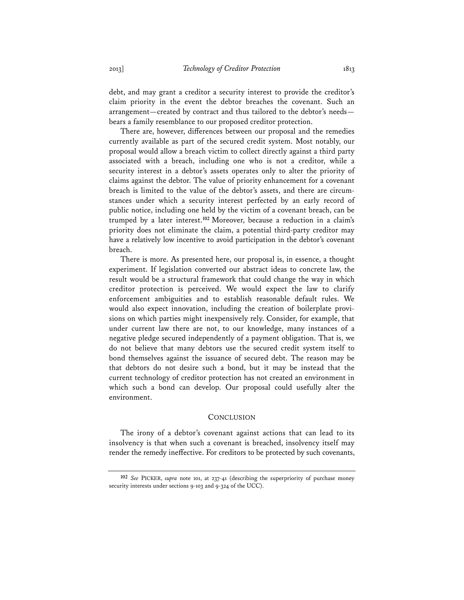debt, and may grant a creditor a security interest to provide the creditor's claim priority in the event the debtor breaches the covenant. Such an arrangement—created by contract and thus tailored to the debtor's needs bears a family resemblance to our proposed creditor protection.

There are, however, differences between our proposal and the remedies currently available as part of the secured credit system. Most notably, our proposal would allow a breach victim to collect directly against a third party associated with a breach, including one who is not a creditor, while a security interest in a debtor's assets operates only to alter the priority of claims against the debtor. The value of priority enhancement for a covenant breach is limited to the value of the debtor's assets, and there are circumstances under which a security interest perfected by an early record of public notice, including one held by the victim of a covenant breach, can be trumped by a later interest.**<sup>102</sup>** Moreover, because a reduction in a claim's priority does not eliminate the claim, a potential third-party creditor may have a relatively low incentive to avoid participation in the debtor's covenant breach.

There is more. As presented here, our proposal is, in essence, a thought experiment. If legislation converted our abstract ideas to concrete law, the result would be a structural framework that could change the way in which creditor protection is perceived. We would expect the law to clarify enforcement ambiguities and to establish reasonable default rules. We would also expect innovation, including the creation of boilerplate provisions on which parties might inexpensively rely. Consider, for example, that under current law there are not, to our knowledge, many instances of a negative pledge secured independently of a payment obligation. That is, we do not believe that many debtors use the secured credit system itself to bond themselves against the issuance of secured debt. The reason may be that debtors do not desire such a bond, but it may be instead that the current technology of creditor protection has not created an environment in which such a bond can develop. Our proposal could usefully alter the environment.

#### **CONCLUSION**

The irony of a debtor's covenant against actions that can lead to its insolvency is that when such a covenant is breached, insolvency itself may render the remedy ineffective. For creditors to be protected by such covenants,

**<sup>102</sup>** *See* PICKER, *supra* note 101, at 237-41 (describing the superpriority of purchase money security interests under sections 9-103 and 9-324 of the UCC).